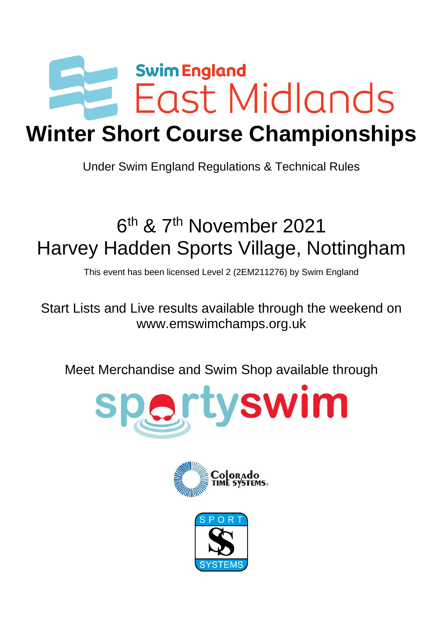

# **Winter Short Course Championships**

Under Swim England Regulations & Technical Rules

# 6<sup>th</sup> & 7<sup>th</sup> November 2021 Harvey Hadden Sports Village, Nottingham

This event has been licensed Level 2 (2EM211276) by Swim England

Start Lists and Live results available through the weekend on www.emswimchamps.org.uk

Meet Merchandise and Swim Shop available through





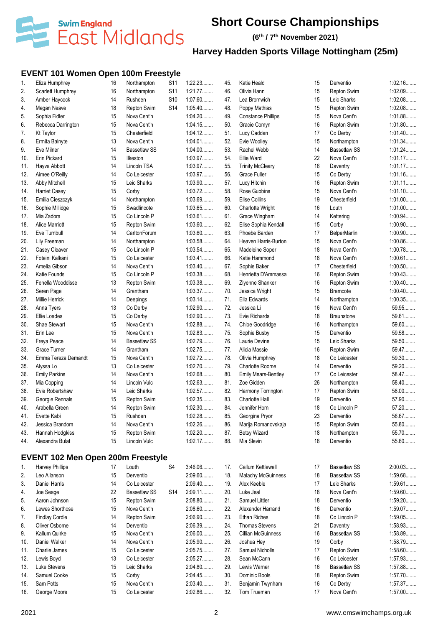

**(6 th / 7 th November 2021)**

### **Harvey Hadden Sports Village Nottingham (25m)**

### **EVENT 101 Women Open 100m Freestyle**

| 1.  | Eliza Humphrey                           | 16 | Northampton         | S <sub>11</sub> | 1:22.23   | 45. | Katie Heald                | 15 | Derventio           | 1:02.16   |
|-----|------------------------------------------|----|---------------------|-----------------|-----------|-----|----------------------------|----|---------------------|-----------|
| 2.  | Scarlett Humphrey                        | 16 | Northampton         | S11             | 1:21.77   | 46. | Olivia Hann                | 15 | Repton Swim         | 1:02.09   |
| 3.  | Amber Haycock                            | 14 | Rushden             | S <sub>10</sub> | $1:07.60$ | 47. | Lea Bromwich               | 15 | Leic Sharks         | 1:02.08   |
| 4.  | Megan Neave                              | 18 | Repton Swim         | <b>S14</b>      | 1:05.40   | 48. | Poppy Mathias              | 15 | Repton Swim         | 1:02.08   |
| 5.  | Sophia Fidler                            | 15 | Nova Cent'n         |                 | 1:04.20   | 49. | <b>Constance Phillips</b>  | 15 | Nova Cent'n         | 1:01.88   |
| 6.  | Rebecca Darrington                       | 15 | Nova Cent'n         |                 | 1:04.15   | 50. | Gracie Comyn               | 16 | Repton Swim         | 1:01.80   |
| 7.  | <b>Kt Taylor</b>                         | 15 | Chesterfield        |                 | 1:04.12   | 51. | Lucy Cadden                | 17 | Co Derby            | 1:01.40   |
| 8.  | Ermita Balnyte                           | 13 | Nova Cent'n         |                 | 1:04.01   | 52. | Evie Woolley               | 15 | Northampton         | 1:01.34   |
| 9.  | Eve Milner                               | 14 | <b>Bassetlaw SS</b> |                 | $1:04.00$ | 53. | Rachel Webb                | 14 | <b>Bassetlaw SS</b> | 1:01.24   |
| 10. | Erin Pickard                             | 15 | Ilkeston            |                 | 1:03.97   | 54. | Ellie Ward                 | 22 | Nova Cent'n         | 1:01.17   |
| 11. | Hayva Abbott                             | 14 | Lincoln TSA         |                 | 1:03.97   | 55. | <b>Trinity McCleary</b>    | 16 | Daventry            | 1:01.17   |
| 12. | Aimee O'Reilly                           | 14 | Co Leicester        |                 | 1:03.97   | 56. | <b>Grace Fuller</b>        | 15 | Co Derby            | 1:01.16   |
| 13. | Abby Mitchell                            | 15 | Leic Sharks         |                 | 1:03.90   | 57. | Lucy Hitchin               | 16 | Repton Swim         | $1:01.11$ |
| 14. | <b>Harriet Casey</b>                     | 15 | Corby               |                 | 1:03.72   | 58. | Rose Gubbins               | 15 | Nova Cent'n         | 1:01.10   |
| 15. | Emilia Cieszczyk                         | 14 | Northampton         |                 | 1:03.69   | 59. | Elise Collins              | 19 | Chesterfield        | $1:01.00$ |
| 16. | Sophie Millidge                          | 15 | Swadlincote         |                 | 1:03.65   | 60. | Charlotte Wright           | 16 | Louth               | $1:01.00$ |
| 17. | Mia Zadora                               | 15 | Co Lincoln P        |                 | 1:03.61   | 61. | Grace Wingham              | 14 | Kettering           | 1:00.94   |
| 18. | <b>Alice Marriott</b>                    | 15 | Repton Swim         |                 | 1:03.60   | 62. | Elise Sophia Kendall       | 15 | Corby               | 1:00.90   |
| 19. | Eve Turnbull                             | 14 | CarltonForum        |                 | $1:03.60$ | 63. | Phoebe Barden              | 17 | <b>BelperMarlin</b> | 1:00.90   |
| 20. | Lily Freeman                             | 14 | Northampton         |                 | 1:03.58   | 64. | Heaven Harris-Burton       | 15 | Nova Cent'n         | 1:00.86   |
| 21. | Casey Cleaver                            | 15 | Co Lincoln P        |                 | 1:03.54   | 65. | Madeleine Soper            | 18 | Nova Cent'n         | 1:00.78   |
| 22. | Foteini Kalkani                          | 15 | Co Leicester        |                 | 1:03.41   | 66. | Katie Hammond              | 18 | Nova Cent'n         | 1:00.61   |
| 23. | Amelia Gibson                            | 14 | Nova Cent'n         |                 | $1:03.40$ | 67. | Sophie Baker               | 17 | Chesterfield        | 1:00.50   |
| 24. | Katie Founds                             | 15 | Co Lincoln P        |                 | 1:03.38   | 68. | Henrietta D'Ammassa        | 16 | Repton Swim         | 1:00.43   |
| 25. | Fenella Wooddisse                        | 13 | Repton Swim         |                 | 1:03.38   | 69. | Ziyenne Shanker            | 16 | Repton Swim         | $1:00.40$ |
| 26. | Seren Page                               | 14 | Grantham            |                 | 1:03.37   | 70. | Jessica Wright             | 15 | <b>Bramcote</b>     | $1:00.40$ |
| 27. | Millie Herrick                           | 14 | Deepings            |                 | 1:03.14   | 71. | Ella Edwards               | 14 | Northampton         | 1:00.35   |
| 28. | Anna Tyers                               | 13 | Co Derby            |                 | 1:02.90   | 72. | Jessica Li                 | 16 | Nova Cent'n         | 59.95     |
| 29. | Ellie Loades                             | 15 | Co Derby            |                 | 1:02.90   | 73. | Evie Richards              | 18 | <b>Braunstone</b>   | 59.61     |
| 30. | Shae Stewart                             | 15 | Nova Cent'n         |                 | 1:02.88   | 74. | Chloe Goodridge            | 16 | Northampton         | 59.60     |
| 31. | Erin Lee                                 | 15 | Nova Cent'n         |                 | 1:02.83   | 75. | Sophie Busby               | 15 | Derventio           | 59.58     |
| 32. | Freya Peace                              | 14 | <b>Bassetlaw SS</b> |                 | 1:02.79   | 76. | Laurie Devine              | 15 | Leic Sharks         | 59.50     |
| 33. | Grace Turner                             | 14 | Grantham            |                 | 1:02.75   | 77. | Alicia Massie              | 16 | Repton Swim         | 59.47     |
| 34. | Emma Tereza Demandt                      | 15 | Nova Cent'n         |                 | 1:02.72   | 78. | Olivia Humphrey            | 18 | Co Leicester        | 59.30     |
| 35. | Alyssa Lo                                | 13 | Co Leicester        |                 | 1:02.70   | 79. | Charlotte Roome            | 14 | Derventio           | 59.20     |
| 36. | <b>Emily Parkins</b>                     | 14 | Nova Cent'n         |                 | 1:02.68   | 80. | <b>Emily Mears-Bentley</b> | 17 | Co Leicester        | 58.47     |
| 37. | Mia Copping                              | 14 | Lincoln Vulc        |                 | 1:02.63   | 81. | Zoe Gidden                 | 26 | Northampton         | 58.40     |
| 38. | Evie Robertshaw                          | 14 | Leic Sharks         |                 | 1:02.57   | 82. | Harmony Torrington         | 17 | Repton Swim         | $58.00$   |
| 39. | Georgie Rennals                          | 15 | Repton Swim         |                 | 1:02.35   | 83. | Charlotte Hall             | 19 | Derventio           | 57.90     |
| 40. | Arabella Green                           | 14 | Repton Swim         |                 | 1:02.30   | 84. | Jennifer Horn              | 18 | Co Lincoln P        | 57.20     |
| 41. | Evette Kabi                              | 15 | Rushden             |                 | 1:02.28   | 85. | Georgina Pryor             | 23 | Derventio           | 56.67     |
| 42. | Jessica Brandom                          | 14 | Nova Cent'n         |                 | 1:02.26   | 86. | Marija Romanovskaja        | 15 | <b>Repton Swim</b>  | 55.80     |
| 43. | Hannah Hodgkiss                          | 15 | Repton Swim         |                 | 1:02.20   | 87. | <b>Betsy Wizard</b>        | 18 | Northampton         | 55.70     |
| 44. | Alexandra Bulat                          | 15 | Lincoln Vulc        |                 | 1:02.17   | 88. | Mia Slevin                 | 18 | Derventio           | 55.60     |
|     | <b>EVENT 102 Men Open 200m Freestyle</b> |    |                     |                 |           |     |                            |    |                     |           |
|     |                                          |    |                     |                 |           |     |                            |    |                     |           |
| 1.  | <b>Harvey Phillips</b>                   | 17 | Louth               | S4              | 3:46.06   | 17. | Callum Kettlewell          | 17 | <b>Bassetlaw SS</b> | $2:00.03$ |
| 2.  | Leo Allanson                             | 15 | Derventio           |                 | 2:09.60   | 18. | Malachy McGuinness         | 18 | <b>Bassetlaw SS</b> | 1:59.68   |
| 3.  | Daniel Harris                            | 14 | Co Leicester        |                 | 2:09.40   | 19. | Alex Keeble                | 17 | Leic Sharks         | 1:59.61   |
| 4.  | Joe Seage                                | 22 | <b>Bassetlaw SS</b> | S <sub>14</sub> | 2:09.11   | 20. | Luke Jeal                  | 18 | Nova Cent'n         | $1:59.60$ |
| 5.  | Aaron Johnson                            | 15 | Repton Swim         |                 | 2:08.80   | 21. | Samuel Littler             | 18 | Derventio           | $1:59.20$ |
| 6.  | Lewes Shorthose                          | 15 | Nova Cent'n         |                 | 2:08.60   | 22. | Alexander Harrand          | 16 | Derventio           | 1:59.07   |
| 7.  | <b>Findlay Cordle</b>                    | 14 | Repton Swim         |                 | 2:06.90   | 23. | <b>Ethan Riches</b>        | 18 | Co Lincoln P        | 1:59.05   |
| 8   | Oliver Osborne                           | 14 | Derventio           |                 | 2:06.39   | 24. | <b>Thomas Stevens</b>      | 21 | Daventry            | 1:58.93   |

8. Oliver Osborne 14 Derventio 9. Kallum Quirke 15 Nova Cent'n

11. Charlie James 15 Co Leicester

15. Sam Potts 15 Nova Cent'n

16. George Moore 15 Co Leicester 2:02.86........

10. Daniel Walker 14 Nova Cent'n 2:05.90........

12. Lewis Boyd **13** Co Leicester 2:05.27........ 28. Sean McCann 13. Luke Stevens 15 Leic Sharks 2:04.80........ 29. Lewis Warner 14. Samuel Cooke 15 Corby 2:04.45........ 19 Corby 1:58.79........ 17 Repton Swim 1:58.60........ 16 Co Leicester 1:57.93........ 16 Bassetlaw SS 1:57.88........ 18 Repton Swim 1:57.70........

24. Thomas Stevens 21 Daventry 1:58.93........ 2:06.00......... 25. Cillian McGuinness 16 Bassetlaw SS 1:58.89........

2:03.40......... 31. Benjamin Twynham 16 Co Derby 1:57.37........

32. Tom Trueman 17 Nova Cent'n 1:57.00........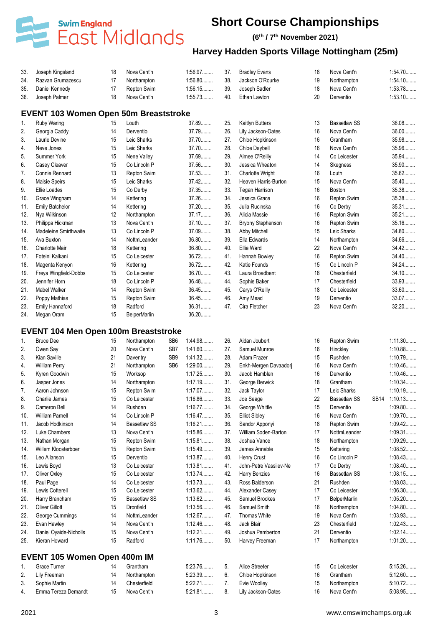

#### **(6 th / 7 th November 2021)**

### **Harvey Hadden Sports Village Nottingham (25m)**

| 33. Joseph Kingsland  |    | Nova Cent'n | 1:56.97   | 37. | <b>Bradley Evans</b> | 18 | Nova Cent'n | 1:54.70   |
|-----------------------|----|-------------|-----------|-----|----------------------|----|-------------|-----------|
| 34. Razvan Grumazescu |    | Northampton | $1:56.80$ | 38. | Jackson O'Rourke     | 19 | Northampton | $1.54.10$ |
| 35. Daniel Kennedy    |    | Repton Swim | 1:56.15   | 39. | Joseph Sadler        | 18 | Nova Cent'n | 1:53.78   |
| 36. Joseph Palmer     | 18 | Nova Cent'n | 1:55.73   | 40. | Ethan Lawton         | 20 | Derventio   | 1:53.10   |

#### **EVENT 103 Women Open 50m Breaststroke**

| 1.              | Ruby Waring            | 15 | Louth               | 37.89   | 25. | Kaitlyn Butters          | 13 | <b>Bassetlaw SS</b> | 36.08   |
|-----------------|------------------------|----|---------------------|---------|-----|--------------------------|----|---------------------|---------|
| 2.              | Georgia Caddy          | 14 | Derventio           | 37.79   | 26. | Lily Jackson-Oates       | 16 | Nova Cent'n         | 36.00   |
| 3.              | Laurie Devine          | 15 | Leic Sharks         | 37.70   | 27. | Chloe Hopkinson          | 16 | Grantham            | 35.98   |
| 4.              | Neve Jones             | 15 | Leic Sharks         | 37.70   | 28. | Chloe Daybell            | 16 | Nova Cent'n         | 35.96   |
| 5.              | Summer York            | 15 | Nene Valley         | 37.69   | 29. | Aimee O'Reilly           | 14 | Co Leicester        | 35.94   |
| 6.              | Casey Cleaver          | 15 | Co Lincoln P        | 37.56   | 30. | Jessica Wheaton          | 14 | Skegness            | 35.90   |
| 7.              | Connie Rennard         | 13 | Repton Swim         | 37.53   | 31. | <b>Charlotte Wright</b>  | 16 | Louth               | 35.62   |
| 8.              | Maisie Speirs          | 15 | Leic Sharks         | $37.42$ | 32. | Heaven Harris-Burton     | 15 | Nova Cent'n         | 35.40   |
| 9.              | Ellie Loades           | 15 | Co Derby            | 37.35   | 33. | Tegan Harrison           | 16 | <b>Boston</b>       | 35.38   |
| 10.             | Grace Wingham          | 14 | Kettering           | 37.26   | 34. | Jessica Grace            | 16 | Repton Swim         | 35.38   |
| 11.             | <b>Emily Batchelor</b> | 14 | Kettering           | 37.20   | 35. | Julia Rucinska           | 16 | Co Derby            | 35.31   |
| 12.             | Nya Wilkinson          | 12 | Northampton         | 37.17   | 36. | Alicia Massie            | 16 | Repton Swim         | 35.21   |
| 13.             | Philippa Hickman       | 13 | Nova Cent'n         | 37.10   | 37. | <b>Bryony Stephenson</b> | 16 | Repton Swim         | $35.16$ |
| 14.             | Madeleine Smirthwaite  | 13 | Co Lincoln P        | 37.09   | 38. | Abby Mitchell            | 15 | Leic Sharks         | 34.80   |
| 15.             | Ava Buxton             | 14 | NottmLeander        | 36.80   | 39. | Ella Edwards             | 14 | Northampton         | 34.66   |
| 16.             | <b>Charlotte Mair</b>  | 18 | Kettering           | 36.80   | 40. | Ellie Ward               | 22 | Nova Cent'n         | 34.42   |
| 17 <sub>1</sub> | Foteini Kalkani        | 15 | Co Leicester        | 36.72   | 41. | Hannah Bowley            | 16 | Repton Swim         | 34.40   |
| 18.             | Magenta Kenyon         | 16 | Kettering           | 36.72   | 42. | Katie Founds             | 15 | Co Lincoln P        | 34.24   |
| 19.             | Freya Wingfield-Dobbs  | 15 | Co Leicester        | $36.70$ | 43. | Laura Broadbent          | 18 | Chesterfield        | 34.10   |
| 20.             | Jennifer Horn          | 18 | Co Lincoln P        | 36.48   | 44. | Sophie Baker             | 17 | Chesterfield        | 33.93   |
| 21.             | Mabel Walker           | 14 | Repton Swim         | 36.45   | 45. | Carys O'Reilly           | 18 | Co Leicester        | 33.60   |
| 22.             | Poppy Mathias          | 15 | Repton Swim         | 36.45   | 46. | Amy Mead                 | 19 | Derventio           | 33.07   |
| 23.             | Emily Hannaford        | 18 | Radford             | 36.31   | 47. | Cira Fletcher            | 23 | Nova Cent'n         | 32.20   |
| 24.             | Megan Oram             | 15 | <b>BelperMarlin</b> | $36.20$ |     |                          |    |                     |         |

#### **EVENT 104 Men Open 100m Breaststroke**

| 1.  | <b>Bruce Dee</b>                    | 15 | Northampton         | SB <sub>6</sub> | 1:44.98   | 26.            | Aidan Joubert          | 16 | Repton Swim         |             | 1:11.30 |
|-----|-------------------------------------|----|---------------------|-----------------|-----------|----------------|------------------------|----|---------------------|-------------|---------|
| 2.  | Owen Say                            | 20 | Nova Cent'n         | SB7             | $1:41.60$ | 27.            | Samuel Munroe          | 16 | Hinckley            |             | 1:10.88 |
| 3.  | Kian Saville                        | 21 | Daventry            | SB <sub>9</sub> | 1:41.32   | 28.            | Adam Frazer            | 15 | Rushden             |             | 1:10.79 |
| 4.  | <b>William Perry</b>                | 21 | Northampton         | SB <sub>6</sub> | $1:29.00$ | 29.            | Enkh-Mergen Davaadorj  | 16 | Nova Cent'n         |             | 1:10.46 |
| 5.  | Kyren Goodwin                       | 15 | Worksop             |                 | $1:17.25$ | 30.            | Jacob Hamblen          | 16 | Derventio           |             | 1:10.46 |
| 6.  | Jasper Jones                        | 14 | Northampton         |                 | 1:17.19   | 31.            | George Berwick         | 18 | Grantham            |             | 1:10.34 |
| 7.  | Aaron Johnson                       | 15 | Repton Swim         |                 | 1:17.07   | 32.            | Jack Taylor            | 17 | Leic Sharks         |             | 1:10.19 |
| 8.  | Charlie James                       | 15 | Co Leicester        |                 | 1:16.86   | 33.            | Joe Seage              | 22 | <b>Bassetlaw SS</b> | <b>SB14</b> | 1:10.13 |
| 9.  | Cameron Bell                        | 14 | Rushden             |                 | 1:16.77   | 34.            | George Whittle         | 15 | Derventio           |             | 1:09.80 |
| 10. | <b>William Parnell</b>              | 14 | Co Lincoln P        |                 | 1:16.47   | 35.            | <b>Elliot Sibley</b>   | 16 | Nova Cent'n         |             | 1:09.70 |
| 11. | Jacob Hodkinson                     | 14 | <b>Bassetlaw SS</b> |                 | $1:16.21$ | 36.            | Sandor Apponyi         | 18 | Repton Swim         |             | 1:09.42 |
| 12. | Luke Chambers                       | 13 | Nova Cent'n         |                 | 1:15.86   | 37.            | William Soden-Barton   | 17 | NottmLeander        |             | 1:09.31 |
| 13. | Nathan Morgan                       | 15 | Repton Swim         |                 | 1:15.81   | 38.            | Joshua Vance           | 18 | Northampton         |             | 1:09.29 |
| 14. | Willem Kloosterboer                 | 15 | Repton Swim         |                 | 1:15.49   | 39.            | James Annable          | 15 | Kettering           |             | 1:08.52 |
| 15. | Leo Allanson                        | 15 | Derventio           |                 | 1:13.87   | 40.            | <b>Henry Crust</b>     | 16 | Co Lincoln P        |             | 1:08.43 |
| 16. | Lewis Boyd                          | 13 | Co Leicester        |                 | 1:13.81   | 41.            | John-Petre Vassilev-Ne | 17 | Co Derby            |             | 1:08.40 |
| 17. | Oliver Oxley                        | 15 | Co Leicester        |                 | 1:13.74   | 42.            | <b>Harry Benzies</b>   | 16 | <b>Bassetlaw SS</b> |             | 1:08.15 |
| 18. | Paul Page                           | 14 | Co Leicester        |                 | 1:13.73   | 43.            | Ross Balderson         | 21 | Rushden             |             | 1:08.03 |
| 19. | Lewis Cotterell                     | 15 | Co Leicester        |                 | $1:13.62$ | 44.            | Alexander Casey        | 17 | Co Leicester        |             | 1:06.30 |
| 20. | Harry Brancham                      | 15 | <b>Bassetlaw SS</b> |                 | $1:13.62$ | 45.            | Samuel Brookes         | 17 | <b>BelperMarlin</b> |             | 1:05.20 |
| 21. | <b>Oliver Gillott</b>               | 15 | Dronfield           |                 | 1:13.56   | 46.            | Samuel Smith           | 16 | Northampton         |             | 1:04.80 |
| 22. | George Cummings                     | 14 | NottmLeander        |                 | 1:12.67   | 47.            | <b>Thomas White</b>    | 19 | Nova Cent'n         |             | 1:03.93 |
| 23. | Evan Hawley                         | 14 | Nova Cent'n         |                 | 1:12.46   | 48.            | Jack Blair             | 23 | Chesterfield        |             | 1:02.43 |
| 24. | Daniel Oyaide-Nicholls              | 15 | Nova Cent'n         |                 | $1:12.21$ | 49.            | Joshua Pemberton       | 21 | Derventio           |             | 1:02.14 |
| 25. | Kieran Howard                       | 15 | Radford             |                 | 1:11.76   | 50.            | Harvey Freeman         | 17 | Northampton         |             | 1:01.20 |
|     | <b>EVENT 105 Women Open 400m IM</b> |    |                     |                 |           |                |                        |    |                     |             |         |
| 1.  | Grace Turner                        | 14 | Grantham            |                 | 5:23.76   | 5.             | Alice Streeter         | 15 | Co Leicester        |             | 5:15.26 |
| 2.  | Lily Freeman                        | 14 | Northampton         |                 | 5:23.39   | 6.             | Chloe Hopkinson        | 16 | Grantham            |             | 5:12.60 |
| 3.  | Sophie Martin                       | 14 | Chesterfield        |                 | $5:22.71$ | 7 <sub>1</sub> | Evie Woolley           | 15 | Northampton         |             | 5:10.72 |
| 4.  | Emma Tereza Demandt                 | 15 | Nova Cent'n         |                 | $5:21.81$ | 8.             | Lilv Jackson-Oates     | 16 | Nova Cent'n         |             | 5:08.95 |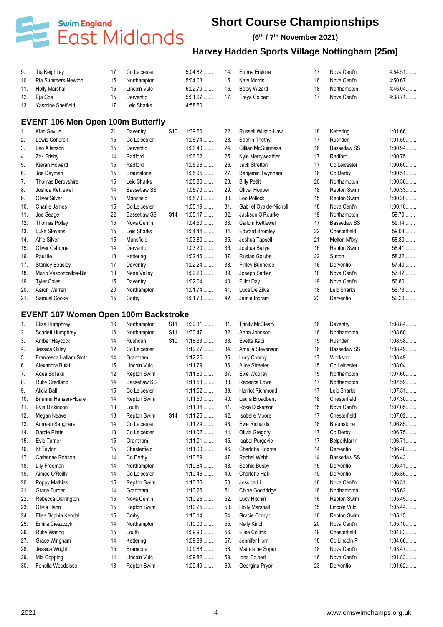

#### **(6 th / 7 th November 2021)**

| 9.       | Tia Keightley                               | 17 | Co Leicester        |                 | 5:04.82   | 14. | Emma Erskine                            | 17 | Nova Cent'n         | 4:54.51   |
|----------|---------------------------------------------|----|---------------------|-----------------|-----------|-----|-----------------------------------------|----|---------------------|-----------|
| 10.      | Pia Summers-Newton                          | 15 | Northampton         |                 | 5:04.03   | 15. | <b>Kate Morris</b>                      | 16 | Nova Cent'n         | 4:50.67   |
| 11.      | <b>Holly Marshall</b>                       | 15 | Lincoln Vulc        |                 | 5:02.79   | 16. | <b>Betsv Wizard</b>                     | 18 | Northampton         | 4:46.04   |
| 12.      | Eja Coe                                     | 15 | Derventio           |                 | 5:01.97   | 17. | Freya Colbert                           | 17 | Nova Cent'n         | 4:38.71   |
| 13.      | Yasmine Sheffield                           | 17 | Leic Sharks         |                 | 4:58.50   |     |                                         |    |                     |           |
|          | <b>EVENT 106 Men Open 100m Butterfly</b>    |    |                     |                 |           |     |                                         |    |                     |           |
| 1.       | Kian Saville                                | 21 | Daventry            | S <sub>10</sub> | $1:39.60$ | 22. | <b>Russell Wilson-Haw</b>               | 18 | Kettering           | 1:01.66   |
| 2.       | Lewis Cotterell                             | 15 | Co Leicester        |                 | 1:06.74   | 23. | Sachin Thethy                           | 17 | Rushden             | 1:01.59   |
| 3.       | Leo Allanson                                | 15 | Derventio           |                 | $1:06.40$ | 24. | <b>Cillian McGuinness</b>               | 16 | <b>Bassetlaw SS</b> | 1:00.94   |
| 4.       | Zak Frisby                                  | 14 | Radford             |                 | 1:06.02   | 25. | Kyle Merryweather                       | 17 | Radford             | 1:00.75   |
| 5.       | Kieran Howard                               | 15 | Radford             |                 | 1:05.96   | 26. | Jack Stretton                           | 17 | Co Leicester        | $1:00.60$ |
| 6.       | Joe Dayman                                  | 15 | <b>Braunstone</b>   |                 | 1:05.95   | 27. | Benjamin Twynham                        | 16 | Co Derby            | $1:00.51$ |
| 7.       | Thomas Derbyshire                           | 15 | Leic Sharks         |                 | 1:05.80   | 28. | <b>Billy Pettit</b>                     | 20 | Northampton         | $1:00.36$ |
|          | Joshua Kettlewell                           | 14 | <b>Bassetlaw SS</b> |                 | 1:05.70   | 29. | Oliver Hooper                           | 18 | Repton Swim         | 1:00.33   |
| 8.<br>9. | <b>Oliver Silver</b>                        | 15 | Mansfield           |                 | 1:05.70   | 30. | Leo Pollock                             | 15 | Repton Swim         | $1:00.20$ |
|          | Charlie James                               | 15 | Co Leicester        |                 | 1:05.19   | 31. |                                         | 18 | Nova Cent'n         | $1:00.10$ |
| 10.      |                                             |    |                     |                 |           |     | Gabriel Oyaide-Nicholl                  |    |                     | 59.70     |
| 11.      | Joe Seage                                   | 22 | <b>Bassetlaw SS</b> | S <sub>14</sub> | 1:05.17   | 32. | Jackson O'Rourke                        | 19 | Northampton         | 59.14.    |
| 12.      | <b>Thomas Polley</b>                        | 15 | Nova Cent'n         |                 | 1:04.50   | 33. | Callum Kettlewell                       | 17 | <b>Bassetlaw SS</b> |           |
| 13.      | Luke Stevens                                | 15 | Leic Sharks         |                 | 1:04.44   | 34. | <b>Edward Bromley</b>                   | 22 | Chesterfield        | 59.03     |
| 14.      | Alfie Silver                                | 15 | Mansfield           |                 | 1:03.80   | 35. | Joshua Tapsell                          | 21 | Melton M'bry        | 58.80     |
| 15.      | Oliver Osborne                              | 14 | Derventio           |                 | 1:03.20   | 36. | Joshua Bailye                           | 16 | <b>Repton Swim</b>  | 58.41.    |
| 16.      | Paul lle                                    | 18 | Kettering           |                 | 1:02.46   | 37. | Ruslan Golubs                           | 22 | Sutton              | 58.32     |
| 17.      | <b>Stanley Beasley</b>                      | 17 | Daventry            |                 | 1:02.24   | 38. | <b>Finley Bunhejee</b>                  | 16 | Derventio           | 57.40     |
| 18.      | Mario Vasconcellos-Bla                      | 13 | Nene Valley         |                 | $1:02.20$ | 39. | Joseph Sadler                           | 18 | Nova Cent'n         | 57.12     |
| 19.      | <b>Tyler Coles</b>                          | 15 | Daventry            |                 | $1:02.04$ | 40. | <b>Elliot Day</b>                       | 19 | Nova Cent'n         | 56.80     |
| 20.      | Aaron Warren                                | 20 | Northampton         |                 | 1:01.74   | 41. | Luca De Zilva                           | 18 | Leic Sharks         | 56.73     |
| 21.      | Samuel Cooke                                | 15 | Corby               |                 | 1:01.70   | 42. | Jamie Ingram                            | 23 | Derventio           | 52.20     |
|          | <b>EVENT 107 Women Open 100m Backstroke</b> |    |                     |                 |           |     |                                         |    |                     |           |
| 1.       | Eliza Humphrey                              | 16 | Northampton         | S <sub>11</sub> | 1:32.31   | 31. | <b>Trinity McCleary</b>                 | 16 | Daventry            | 1:08.84   |
| 2.       | Scarlett Humphrey                           | 16 | Northampton         | S <sub>11</sub> | 1:30.47   | 32. | Anna Johnson                            | 16 | Northampton         | 1:08.60   |
| 3.       | Amber Haycock                               | 14 | Rushden             | S <sub>10</sub> | 1:18.33   | 33. | Evette Kabi                             | 15 | Rushden             | 1:08.58   |
| 4.       | Jessica Oxley                               | 12 | Co Leicester        |                 | 1:12.27   | 34. | Amelia Stevenson                        | 16 | <b>Bassetlaw SS</b> | 1:08.49   |
| 5.       | Francesca Hallam-Stott                      | 14 | Grantham            |                 | 1:12.25   | 35. | Lucy Conroy                             | 17 | Worksop             | 1:08.49   |
| 6.       | Alexandra Bulat                             | 15 | Lincoln Vulc        |                 | 1:11.79   | 36. | Alice Streeter                          | 15 | Co Leicester        | $1:08.04$ |
| 7.       | Adea Sollaku                                | 12 | Repton Swim         |                 | 1:11.60   | 37. | Evie Woolley                            | 15 |                     | 1:07.60   |
|          |                                             | 14 | <b>Bassetlaw SS</b> |                 | 1:11.53   | 38. |                                         | 17 | Northampton         | 1:07.59   |
| 8.       | Ruby Credland                               |    |                     |                 |           |     | Rebecca Lowe<br><b>Harriot Richmond</b> |    | Northampton         |           |
| 9.       | Alicia Ball                                 | 15 | Co Leicester        |                 | 1:11.52   | 39. |                                         | 17 | Leic Sharks         | 1:07.51   |
| 10.      | Brianna Hansen-Hoare                        | 14 | Repton Swim         |                 | 1:11.50   | 40. | Laura Broadbent                         | 18 | Chesterfield        | 1:07.30   |
| 11.      | Evie Dickinson                              | 13 | Louth               |                 | 1:11.34   | 41. | Rose Dickerson                          | 15 | Nova Cent'n         | 1:07.05   |
| 12.      | Megan Neave                                 | 18 | Repton Swim         | S <sub>14</sub> | 1:11.25   | 42. | <b>Isobelle Moore</b>                   | 17 | Chesterfield        | 1:07.02   |
| 13.      | Amreen Sanghera                             | 14 | Co Leicester        |                 | 1:11.24   | 43. | Evie Richards                           | 18 | <b>Braunstone</b>   | 1:06.85   |
| 14.      | Darcie Platts                               | 13 | Co Leicester        |                 | 1:11.02   | 44. | Olivia Gregory                          | 17 | Co Derby            | 1:06.75   |
| 15.      | Evie Turner                                 | 15 | Grantham            |                 | $1:11.01$ | 45. | Isabel Purgavie                         | 17 | <b>BelperMarlin</b> | 1:06.71   |
| 16.      | <b>Kt Taylor</b>                            | 15 | Chesterfield        |                 | $1:11.00$ | 46. | Charlotte Roome                         | 14 | Derventio           | 1:06.48   |
| 17.      | Catherine Robson                            | 14 | Co Derby            |                 | 1:10.69   | 47. | Rachel Webb                             | 14 | <b>Bassetlaw SS</b> | 1:06.43   |
| 18.      | Lily Freeman                                | 14 | Northampton         |                 | 1:10.64   | 48. | Sophie Busby                            | 15 | Derventio           | $1:06.41$ |
| 19.      | Aimee O'Reilly                              | 14 | Co Leicester        |                 | 1:10.46   | 49. | Charlotte Hall                          | 19 | Derventio           | 1:06.35   |
| 20.      | Poppy Mathias                               | 15 | Repton Swim         |                 | 1:10.36   | 50. | Jessica Li                              | 16 | Nova Cent'n         | 1:06.31   |
| 21.      | Grace Turner                                | 14 | Grantham            |                 | 1:10.26   | 51. | Chloe Goodridge                         | 16 | Northampton         | 1:05.62   |
| 22.      | Rebecca Darrington                          | 15 | Nova Cent'n         |                 | 1:10.26   | 52. | Lucy Hitchin                            | 16 | Repton Swim         | 1:05.45   |
| 23.      | Olivia Hann                                 | 15 | Repton Swim         |                 | 1:10.25   | 53. | <b>Holly Marshall</b>                   | 15 | Lincoln Vulc        | 1:05.44   |
| 24.      | Elise Sophia Kendall                        | 15 | Corby               |                 | $1:10.14$ | 54. | Gracie Comyn                            | 16 | Repton Swim         | 1:05.15   |
| 25.      | Emilia Cieszczyk                            | 14 | Northampton         |                 | $1:10.00$ | 55. | Nelly Kinch                             | 20 | Nova Cent'n         | $1:05.10$ |
| 26.      | Ruby Waring                                 | 15 | Louth               |                 | $1:09.90$ | 56. | Elise Collins                           | 19 | Chesterfield        | 1:04.83   |
| 27.      | Grace Wingham                               | 14 | Kettering           |                 | 1:09.89   | 57. | Jennifer Horn                           | 18 | Co Lincoln P        | 1:04.66   |
| 28.      | Jessica Wright                              | 15 | <b>Bramcote</b>     |                 | 1:09.88   | 58. | Madeleine Soper                         | 18 | Nova Cent'n         | 1:03.47   |
| 29.      | Mia Copping                                 | 14 | Lincoln Vulc        |                 | 1:09.82   | 59. | Iona Colbert                            | 16 | Nova Cent'n         | 1:01.83   |
| 30.      | Fenella Wooddisse                           | 13 | Repton Swim         |                 | 1:09.49   | 60. | Georgina Pryor                          | 23 | Derventio           | 1:01.62   |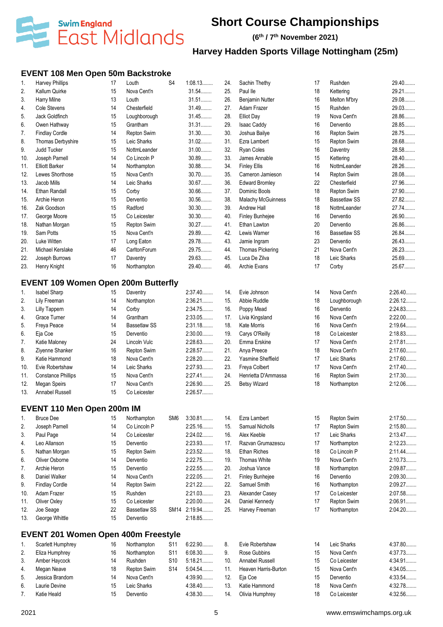

**(6 th / 7 th November 2021)**

# **Harvey Hadden Sports Village Nottingham (25m)**

#### **EVENT 108 Men Open 50m Backstroke**

| 1.       | Harvey Phillips                            | 17 | Louth                | S <sub>4</sub>  | 1:08.13      | 24. | Sachin Thethy             | 17 | Rushden                   | 29.40              |
|----------|--------------------------------------------|----|----------------------|-----------------|--------------|-----|---------------------------|----|---------------------------|--------------------|
| 2.       | Kallum Quirke                              | 15 | Nova Cent'n          |                 | 31.54        | 25. | Paul lle                  | 18 | Kettering                 | 29.21              |
| 3.       | Harry Milne                                | 13 | Louth                |                 | 31.51        | 26. | Benjamin Nutter           | 16 | Melton M'bry              | 29.08              |
| 4.       | Cole Stevens                               | 14 | Chesterfield         |                 | 31.49        | 27. | Adam Frazer               | 15 | Rushden                   | 29.03              |
| 5.       | Jack Goldfinch                             | 15 | Loughborough         |                 | 31.45        | 28. | <b>Elliot Day</b>         | 19 | Nova Cent'n               | 28.86              |
| 6.       | Owen Hathway                               | 15 | Grantham             |                 | 31.31        | 29. | <b>Isaac Caddy</b>        | 16 | Derventio                 | 28.85              |
| 7.       | <b>Findlay Cordle</b>                      | 14 | Repton Swim          |                 | 31.30        | 30. | Joshua Bailye             | 16 | Repton Swim               | 28.75              |
| 8.       | Thomas Derbyshire                          | 15 | Leic Sharks          |                 | 31.02        | 31. | Ezra Lambert              | 15 | Repton Swim               | 28.68              |
| 9.       | Judd Tucker                                | 15 | NottmLeander         |                 | $31.00$      | 32. | Ryan Coles                | 16 | Daventry                  | 28.58              |
| 10.      | Joseph Parnell                             | 14 | Co Lincoln P         |                 | 30.89        | 33. | James Annable             | 15 | Kettering                 | 28.40              |
| 11.      | <b>Elliott Barker</b>                      | 14 | Northampton          |                 | 30.88        | 34. | <b>Finley Ellis</b>       | 16 | NottmLeander              | 28.26              |
| 12.      | Lewes Shorthose                            | 15 | Nova Cent'n          |                 | 30.70        | 35. | Cameron Jamieson          | 14 | Repton Swim               | 28.08              |
| 13.      | Jacob Mills                                | 14 | Leic Sharks          |                 | 30.67        | 36. | <b>Edward Bromley</b>     | 22 | Chesterfield              | 27.96              |
| 14.      | Ethan Randall                              | 15 | Corby                |                 | $30.66$      | 37. | Dominic Bools             | 18 | Repton Swim               | 27.90              |
| 15.      | Archie Heron                               | 15 | Derventio            |                 | 30.56        | 38. | <b>Malachy McGuinness</b> | 18 | <b>Bassetlaw SS</b>       | 27.82              |
| 16.      | Zak Goodson                                | 15 | Radford              |                 | $30.30$      | 39. | Andrew Hall               | 18 | NottmLeander              | 27.74              |
| 17.      | George Moore                               | 15 | Co Leicester         |                 | $30.30$      | 40. | Finley Bunhejee           | 16 | Derventio                 | 26.90              |
| 18.      | Nathan Morgan                              | 15 | Repton Swim          |                 | 30.27        | 41. | Ethan Lawton              | 20 | Derventio                 | 26.86              |
| 19.      | Sam Potts                                  | 15 | Nova Cent'n          |                 | 29.89        | 42. | Lewis Warner              | 16 | <b>Bassetlaw SS</b>       | 26.84              |
| 20.      | Luke Witten                                | 17 | Long Eaton           |                 | 29.78        | 43. | Jamie Ingram              | 23 | Derventio                 | 26.43              |
| 21.      | Michael Kerslake                           | 46 | CarltonForum         |                 | 29.75        | 44. | <b>Thomas Pickering</b>   | 21 | Nova Cent'n               | 26.23              |
| 22.      | Joseph Burrows                             | 17 | Daventry             |                 | 29.63        | 45. | Luca De Zilva             | 18 | Leic Sharks               | 25.69              |
| 23.      | Henry Knight                               | 16 | Northampton          |                 | 29.40.       | 46. | Archie Evans              | 17 | Corby                     | 25.67              |
|          |                                            |    |                      |                 |              |     |                           |    |                           |                    |
|          | <b>EVENT 109 Women Open 200m Butterfly</b> |    |                      |                 |              |     |                           |    |                           |                    |
| 1.       | Isabel Sharp                               | 15 | Daventry             |                 | 2:37.40      | 14. | Evie Johnson              | 14 | Nova Cent'n               | 2:26.40            |
|          |                                            | 14 |                      |                 | 2:36.21      | 15. | Abbie Ruddle              | 18 |                           | 2:26.12            |
| 2.<br>3. | Lily Freeman                               | 14 | Northampton<br>Corby |                 | 2:34.75      | 16. | Poppy Mead                | 16 | Loughborough<br>Derventio | 2:24.83            |
|          | <b>Lilly Tappern</b><br>Grace Turner       | 14 | Grantham             |                 | 2:33.05      |     |                           | 16 | Nova Cent'n               | $2:22.00$          |
| 4.       |                                            |    |                      |                 | 2:31.18      | 17. | Livia Kingsland           |    |                           | 2:19.64            |
| 5.       | Freya Peace                                | 14 | <b>Bassetlaw SS</b>  |                 |              | 18. | Kate Morris               | 16 | Nova Cent'n               |                    |
| 6.       | Eja Coe                                    | 15 | Derventio            |                 | $2:30.00$    | 19. | Carys O'Reilly            | 18 | Co Leicester              | 2:18.83<br>2:17.81 |
| 7.       | Katie Maloney                              | 24 | Lincoln Vulc         |                 | 2:28.63      | 20. | Emma Erskine              | 17 | Nova Cent'n               |                    |
| 8.       | Ziyenne Shanker                            | 16 | Repton Swim          |                 | 2:28.57      | 21. | Anya Preece               | 18 | Nova Cent'n               | 2:17.60<br>2:17.60 |
| 9.       | Katie Hammond                              | 18 | Nova Cent'n          |                 | 2:28.20      | 22. | Yasmine Sheffield         | 17 | Leic Sharks               |                    |
| 10.      | Evie Robertshaw                            | 14 | Leic Sharks          |                 | 2:27.93      | 23. | Freya Colbert             | 17 | Nova Cent'n               | $2:17.40$          |
| 11.      | <b>Constance Phillips</b>                  | 15 | Nova Cent'n          |                 | 2:27.41      | 24. | Henrietta D'Ammassa       | 16 | Repton Swim               | 2:17.30            |
| 12.      | Megan Speirs                               | 17 | Nova Cent'n          |                 | 2:26.90      | 25. | <b>Betsy Wizard</b>       | 18 | Northampton               | 2:12.06            |
| 13.      | Annabel Russell                            | 15 | Co Leicester         |                 | 2:26.57      |     |                           |    |                           |                    |
|          | <b>EVENT 110 Men Open 200m IM</b>          |    |                      |                 |              |     |                           |    |                           |                    |
| 1.       | <b>Bruce Dee</b>                           | 15 | Northampton          | SM <sub>6</sub> | $3:30.81$    | 14. | Ezra Lambert              | 15 | Repton Swim               | 2:17.50            |
| 2.       | Joseph Parnell                             | 14 | Co Lincoln P         |                 | 2:25.16      | 15. | Samual Nicholls           | 17 | Repton Swim               | 2:15.80            |
| 3.       | Paul Page                                  | 14 | Co Leicester         |                 | 2:24.02      | 16. | Alex Keeble               | 17 | Leic Sharks               | 2:13.47            |
| 4.       | Leo Allanson                               | 15 | Derventio            |                 | 2:23.93      | 17. | Razvan Grumazescu         | 17 | Northampton               | 2:12.23            |
| 5.       | Nathan Morgan                              | 15 | Repton Swim          |                 | 2:23.52      | 18. | <b>Ethan Riches</b>       | 18 | Co Lincoln P              | 2:11.44            |
| 6.       | Oliver Osborne                             | 14 | Derventio            |                 | 2:22.75      | 19. | Thomas White              | 19 | Nova Cent'n               | 2:10.73            |
| 7.       | Archie Heron                               | 15 | Derventio            |                 | 2:22.55      | 20. | Joshua Vance              | 18 | Northampton               | 2:09.87            |
| 8.       | Daniel Walker                              | 14 | Nova Cent'n          |                 | 2:22.05      | 21. | <b>Finley Bunhejee</b>    | 16 | Derventio                 | 2:09.30            |
| 9.       | <b>Findlay Cordle</b>                      | 14 | Repton Swim          |                 | 2:21.22      | 22. | Samuel Smith              | 16 | Northampton               | 2:09.27            |
| 10.      | Adam Frazer                                | 15 | Rushden              |                 | 2:21.03      | 23. | Alexander Casey           | 17 | Co Leicester              | 2:07.58            |
| 11.      | Oliver Oxley                               | 15 | Co Leicester         |                 | $2:20.00$    | 24. | Daniel Kennedy            | 17 | Repton Swim               | 2:06.91            |
| 12.      | Joe Seage                                  | 22 | <b>Bassetlaw SS</b>  |                 | SM14 2:19.94 | 25. | Harvey Freeman            | 17 | Northampton               | 2:04.20            |
| 13.      | George Whittle                             | 15 | Derventio            |                 | 2:18.85      |     |                           |    |                           |                    |
|          |                                            |    |                      |                 |              |     |                           |    |                           |                    |
|          | <b>EVENT 201 Women Open 400m Freestyle</b> |    |                      |                 |              |     |                           |    |                           |                    |
| 1.       | Scarlett Humphrey                          | 16 | Northampton          | S11             | 6:22.90      | 8.  | Evie Robertshaw           | 14 | Leic Sharks               | 4:37.80            |
| 2.       | Eliza Humphrey                             | 16 | Northampton          | S11             | 6:08.30      | 9.  | Rose Gubbins              | 15 | Nova Cent'n               | 4:37.73            |
| 3.       | Amber Haycock                              | 14 | Rushden              | S10             | 5:18.21      | 10. | <b>Annabel Russell</b>    | 15 | Co Leicester              | 4:34.91            |
| 4.       | Megan Neave                                | 18 | Repton Swim          | S14             | 5:04.54      | 11. | Heaven Harris-Burton      | 15 | Nova Cent'n               | 4:34.05            |
| 5.       | Jessica Brandom                            | 14 | Nova Cent'n          |                 | 4:39.90      | 12. | Eja Coe                   | 15 | Derventio                 | 4:33.54            |
| 6.       | Laurie Devine                              | 15 | Leic Sharks          |                 | 4:38.40      | 13. | Katie Hammond             | 18 | Nova Cent'n               | 4:32.78            |
| 7.       | Katie Heald                                | 15 | Derventio            |                 | 4:38.30      | 14. | Olivia Humphrey           | 18 | Co Leicester              | 4:32.56            |
|          |                                            |    |                      |                 |              |     |                           |    |                           |                    |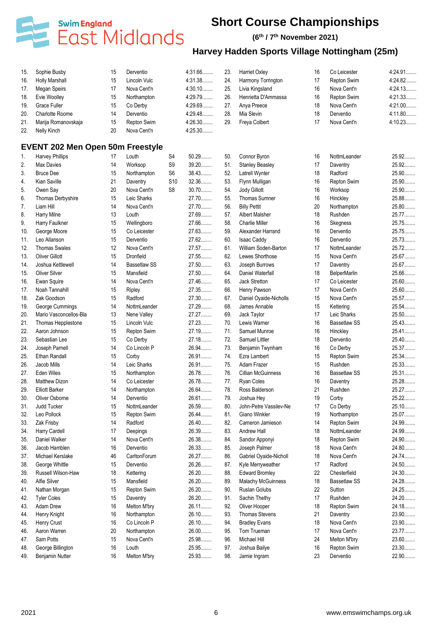

#### **(6 th / 7 th November 2021)**

| 15.        | Sophie Busby                            | 15       | Derventio                   |                 | 4:31.66        | 23. | <b>Harriet Oxley</b>      | 16 | Co Leicester        | 4:24.91   |
|------------|-----------------------------------------|----------|-----------------------------|-----------------|----------------|-----|---------------------------|----|---------------------|-----------|
| 16.        | <b>Holly Marshall</b>                   | 15       | Lincoln Vulc                |                 | 4:31.38        | 24. | Harmony Torrington        | 17 | Repton Swim         | 4:24.82   |
| 17.        | <b>Megan Speirs</b>                     | 17       | Nova Cent'n                 |                 | 4:30.10        | 25. | Livia Kingsland           | 16 | Nova Cent'n         | 4:24.13   |
| 18.        | Evie Woolley                            | 15       | Northampton                 |                 | 4:29.79        | 26. | Henrietta D'Ammassa       | 16 | Repton Swim         | 4:21.33   |
| 19.        | Grace Fuller                            | 15       | Co Derby                    |                 | 4:29.69        | 27. | Anya Preece               | 18 | Nova Cent'n         | $4:21.00$ |
| 20.        | Charlotte Roome                         | 14       | Derventio                   |                 | 4:29.48        | 28. | Mia Slevin                | 18 | Derventio           | 4:11.80   |
| 21.        | Marija Romanovskaja                     | 15       | Repton Swim                 |                 | 4:26.30        | 29. | Freya Colbert             | 17 | Nova Cent'n         | 4:10.23   |
| 22.        | Nelly Kinch                             | 20       | Nova Cent'n                 |                 | 4:25.30        |     |                           |    |                     |           |
|            | <b>EVENT 202 Men Open 50m Freestyle</b> |          |                             |                 |                |     |                           |    |                     |           |
| 1.         | Harvey Phillips                         | 17       | Louth                       | S <sub>4</sub>  | 50.29          | 50. | Connor Byron              | 16 | NottmLeander        | 25.92     |
| 2.         | <b>Max Davies</b>                       | 14       | Worksop                     | S9              | 39.20          | 51. | <b>Stanley Beasley</b>    | 17 | Daventry            | 25.92     |
| 3.         | <b>Bruce Dee</b>                        | 15       | Northampton                 | S <sub>6</sub>  | 38.43          | 52. | Latrell Wynter            | 18 | Radford             | 25.90     |
| 4.         | Kian Saville                            | 21       | Daventry                    | S <sub>10</sub> | 32.36          | 53. | Flynn Mulligan            | 16 | Repton Swim         | 25.90     |
| 5.         | Owen Say                                | 20       | Nova Cent'n                 | S <sub>8</sub>  | $30.70$        | 54. | Jody Gillott              | 16 | Worksop             | 25.90     |
| 6.         | Thomas Derbyshire                       | 15       | Leic Sharks                 |                 | 27.70          | 55. | <b>Thomas Sumner</b>      | 16 | Hinckley            | 25.88     |
| 7.         | Liam Hill                               | 14       | Nova Cent'n                 |                 | 27.70          | 56. | <b>Billy Pettit</b>       | 20 | Northampton         | 25.80     |
| 8.         | Harry Milne                             | 13       | Louth                       |                 | 27.69          | 57. | <b>Albert Malsher</b>     | 18 | Rushden             | 25.77     |
| 9.         | Harry Faulkner                          | 15       | Wellingboro                 |                 | 27.66          | 58. | <b>Charlie Miller</b>     | 16 | Skegness            | 25.75     |
| 10.        | George Moore                            | 15       | Co Leicester                |                 | 27.63.         | 59. | Alexander Harrand         | 16 | Derventio           | 25.75     |
| 11.        | Leo Allanson                            | 15       | Derventio                   |                 | 27.62          | 60. | <b>Isaac Caddy</b>        | 16 | Derventio           | 25.73     |
| 12.        | <b>Thomas Swales</b>                    | 12       | Nova Cent'n                 |                 | 27.57          | 61. | William Soden-Barton      | 17 | NottmLeander        | 25.72     |
| 13.        | Oliver Gillott                          | 15       | Dronfield                   |                 | 27.55          | 62. | Lewes Shorthose           | 15 | Nova Cent'n         | 25.67     |
| 14.        | Joshua Kettlewell                       | 14       | <b>Bassetlaw SS</b>         |                 | 27.50          | 63. | Joseph Burrows            | 17 | Daventry            | 25.67     |
| 15.        | <b>Oliver Silver</b>                    | 15       | Mansfield                   |                 | 27.50          | 64. | Daniel Waterfall          | 18 | <b>BelperMarlin</b> | 25.66     |
| 16.        | Ewan Squire                             | 14       | Nova Cent'n                 |                 | 27.46          | 65. | Jack Stretton             | 17 | Co Leicester        | 25.60     |
| 17.        | Noah Tannahill                          | 15       | Ripley                      |                 | 27.35          | 66. | Henry Pawson              | 17 | Nova Cent'n         | 25.60     |
| 18.        | Zak Goodson                             | 15       | Radford                     |                 | 27.30          | 67. | Daniel Oyaide-Nicholls    | 15 | Nova Cent'n         | 25.57     |
| 19.        | George Cummings                         | 14       | NottmLeander                |                 | 27.29          | 68. | James Annable             | 15 | Kettering           | 25.54     |
| 20.        | Mario Vasconcellos-Bla                  | 13       | Nene Valley                 |                 | 27.27          | 69. | Jack Taylor               | 17 | Leic Sharks         | 25.50     |
| 21.        | Thomas Hepplestone                      | 15       | Lincoln Vulc                |                 | 27.23          | 70. | Lewis Warner              | 16 | <b>Bassetlaw SS</b> | 25.43     |
| 22.        | Aaron Johnson                           | 15       | Repton Swim                 |                 | 27.19.         | 71. | Samuel Munroe             | 16 | Hinckley            | 25.41     |
| 23.        | Sebastian Lee                           | 15       | Co Derby                    |                 | 27.18          | 72. | Samuel Littler            | 18 | Derventio           | 25.40     |
| 24.        | Joseph Parnell                          | 14       | Co Lincoln P                |                 | 26.94          | 73. | Benjamin Twynham          | 16 | Co Derby            | 25.37     |
| 25.        | <b>Ethan Randall</b>                    | 15       | Corby                       |                 | 26.91          | 74. | Ezra Lambert              | 15 | Repton Swim         | 25.34     |
| 26.        | Jacob Mills                             | 14       | Leic Sharks                 |                 | 26.91          | 75. | Adam Frazer               | 15 | Rushden             | 25.33     |
|            | Eden Wiles                              |          |                             |                 | 26.78          | 76. | <b>Cillian McGuinness</b> | 16 | <b>Bassetlaw SS</b> | 25.31     |
| 27.<br>28. | Matthew Dizon                           | 15<br>14 | Northampton<br>Co Leicester |                 | 26.78          | 77. | Ryan Coles                | 16 | Daventry            | 25.28     |
|            |                                         |          |                             |                 | 26.64          | 78. | Ross Balderson            |    |                     | 25.27     |
| 29.        | <b>Elliott Barker</b>                   | 14       | Northampton<br>Derventio    |                 | 26.61          | 79. | Joshua Hey                | 21 | Rushden             | 25.22     |
| 30.        | Oliver Osborne                          | 14       |                             |                 | 26.59          |     |                           | 19 | Corby               | 25.10     |
| 31.        | Judd Tucker                             | 15       | NottmLeander                |                 |                | 80. | John-Petre Vassilev-Ne    | 17 | Co Derby            |           |
| 32.        | Leo Pollock                             | 15       | Repton Swim                 |                 | 26.44<br>26.40 | 81. | Giano Winkler             | 19 | Northampton         | 25.07     |
| 33.        | Zak Frisby                              | 14       | Radford                     |                 |                | 82. | Cameron Jamieson          | 14 | Repton Swim         | 24.99     |
| 34.        | Harry Cardell                           | 17       | Deepings                    |                 | 26.39          | 83. | Andrew Hall               | 18 | NottmLeander        | 24.99     |
| 35.        | Daniel Walker                           | 14       | Nova Cent'n                 |                 | 26.38          | 84. | Sandor Apponyi            | 18 | Repton Swim         | 24.90     |
| 36.        | Jacob Hamblen                           | 16       | Derventio                   |                 | 26.33          | 85. | Joseph Palmer             | 18 | Nova Cent'n         | 24.80     |
| 37.        | Michael Kerslake                        | 46       | CarltonForum                |                 | 26.27          | 86. | Gabriel Oyaide-Nicholl    | 18 | Nova Cent'n         | 24.74     |
| 38.        | George Whittle                          | 15       | Derventio                   |                 | 26.26          | 87. | Kyle Merryweather         | 17 | Radford             | 24.50     |
| 39.        | Russell Wilson-Haw                      | 18       | Kettering                   |                 | 26.20          | 88. | <b>Edward Bromley</b>     | 22 | Chesterfield        | 24.30     |
| 40.        | Alfie Silver                            | 15       | Mansfield                   |                 | $26.20$        | 89. | <b>Malachy McGuinness</b> | 18 | <b>Bassetlaw SS</b> | 24.28     |
| 41.        | Nathan Morgan                           | 15       | Repton Swim                 |                 | 26.20          | 90. | Ruslan Golubs             | 22 | Sutton              | 24.25     |
| 42.        | <b>Tyler Coles</b>                      | 15       | Daventry                    |                 | 26.20          | 91. | Sachin Thethy             | 17 | Rushden             | 24.20     |
| 43.        | <b>Adam Drew</b>                        | 16       | Melton M'bry                |                 | 26.11          | 92. | Oliver Hooper             | 18 | Repton Swim         | 24.18     |
| 44.        | Henry Knight                            | 16       | Northampton                 |                 | 26.10          | 93. | Thomas Stevens            | 21 | Daventry            | 23.90     |
| 45.        | Henry Crust                             | 16       | Co Lincoln P                |                 | 26.10          | 94. | <b>Bradley Evans</b>      | 18 | Nova Cent'n         | 23.90     |
| 46.        | Aaron Warren                            | 20       | Northampton                 |                 | 26.00          | 95. | Tom Trueman               | 17 | Nova Cent'n         | 23.77     |
| 47.        | Sam Potts                               | 15       | Nova Cent'n                 |                 | 25.98          | 96. | Michael Hill              | 24 | Melton M'bry        | 23.60     |
| 48.        | George Billington                       | 16       | Louth                       |                 | 25.95          | 97. | Joshua Bailye             | 16 | Repton Swim         | 23.30     |
| 49.        | Benjamin Nutter                         | 16       | Melton M'bry                |                 | 25.93          | 98. | Jamie Ingram              | 23 | Derventio           | 22.90     |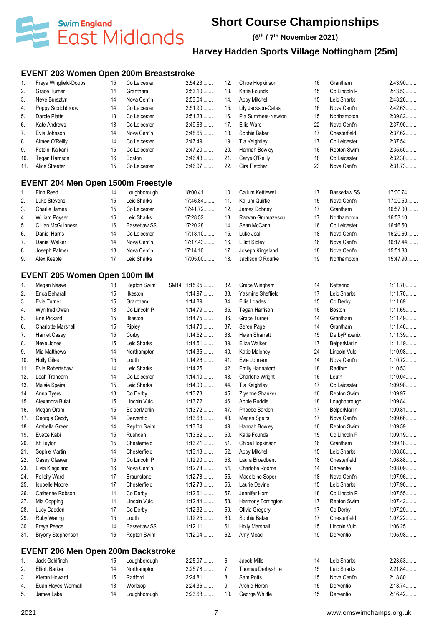

**(6 th / 7 th November 2021)**

# **Harvey Hadden Sports Village Nottingham (25m)**

### **EVENT 203 Women Open 200m Breaststroke**

| 1.  | Freya Wingfield-Dobbs               | 15 | Co Leicester        | 2:54.23      | 12. | Chloe Hopkinson        | 16 | Grantham            | 2:43.90   |
|-----|-------------------------------------|----|---------------------|--------------|-----|------------------------|----|---------------------|-----------|
| 2.  | Grace Turner                        | 14 | Grantham            | 2:53.10      | 13. | Katie Founds           | 15 | Co Lincoln P        | 2:43.53   |
| 3.  | Neve Bursztyn                       | 14 | Nova Cent'n         | $2:53.04$    | 14. | Abby Mitchell          | 15 | Leic Sharks         | 2:43.26   |
| 4.  | Poppy Scotchbrook                   | 14 | Co Leicester        | 2:51.90      | 15. | Lily Jackson-Oates     | 16 | Nova Cent'n         | 2:42.63   |
| 5.  | Darcie Platts                       | 13 | Co Leicester        | 2:51.23      | 16. | Pia Summers-Newton     | 15 | Northampton         | 2:39.82   |
| 6.  | Kate Andrews                        | 13 | Co Leicester        | 2:49.63      | 17. | <b>Ellie Ward</b>      | 22 | Nova Cent'n         | 2:37.90   |
| 7.  | Evie Johnson                        | 14 | Nova Cent'n         | 2:48.65      | 18. | Sophie Baker           | 17 | Chesterfield        | 2:37.62   |
| 8.  | Aimee O'Reilly                      | 14 | Co Leicester        | 2:47.49      | 19. | Tia Keightley          | 17 | Co Leicester        | 2:37.54   |
| 9.  | Foteini Kalkani                     | 15 | Co Leicester        | 2:47.20      | 20. | Hannah Bowley          | 16 | Repton Swim         | 2:35.50   |
| 10. | <b>Tegan Harrison</b>               | 16 | <b>Boston</b>       | 2:46.43      | 21. | Carys O'Reilly         | 18 | Co Leicester        | 2:32.30   |
| 11. | Alice Streeter                      | 15 | Co Leicester        | 2:46.07      | 22. | Cira Fletcher          | 23 | Nova Cent'n         | 2:31.73   |
|     | EVENT 204 Men Open 1500m Freestyle  |    |                     |              |     |                        |    |                     |           |
| 1.  | Finn Reed                           | 14 | Loughborough        | 18:00.41     | 10. | Callum Kettlewell      | 17 | <b>Bassetlaw SS</b> | 17:00.74  |
| 2.  | Luke Stevens                        | 15 | Leic Sharks         | 17:46.84     | 11. | Kallum Quirke          | 15 | Nova Cent'n         | 17:00.50  |
| 3.  | Charlie James                       | 15 | Co Leicester        | 17:41.72     | 12. | James Dobney           | 17 | Grantham            | 16:57.00  |
| 4.  | William Poyser                      | 16 | Leic Sharks         | 17:28.52     | 13. | Razvan Grumazescu      | 17 | Northampton         | 16:53.10  |
| 5.  | <b>Cillian McGuinness</b>           | 16 | <b>Bassetlaw SS</b> | 17:20.28     | 14. | Sean McCann            | 16 | Co Leicester        | 16:46.50  |
| 6.  | Daniel Harris                       | 14 | Co Leicester        | 17:18.10     | 15. | Luke Jeal              | 18 | Nova Cent'n         | 16:20.60  |
| 7.  | Daniel Walker                       | 14 | Nova Cent'n         | 17:17.43     | 16. | <b>Elliot Sibley</b>   | 16 | Nova Cent'n         | 16:17.44  |
| 8.  | Joseph Palmer                       | 18 | Nova Cent'n         | 17:14.10     | 17. | Joseph Kingsland       | 18 | Nova Cent'n         | 15:51.88  |
| 9.  | Alex Keeble                         | 17 | Leic Sharks         | 17:05.00     | 18. | Jackson O'Rourke       | 19 | Northampton         | 15:47.90  |
|     | <b>EVENT 205 Women Open 100m IM</b> |    |                     |              |     |                        |    |                     |           |
| 1.  | Megan Neave                         | 18 | Repton Swim         | SM14 1:15.95 | 32. | Grace Wingham          | 14 | Kettering           | 1:11.70   |
| 2.  | Erica Beharall                      | 15 | Ilkeston            | 1:14.97      | 33. | Yasmine Sheffield      | 17 | Leic Sharks         | 1:11.70   |
| 3.  | Evie Turner                         | 15 | Grantham            | 1:14.89      | 34. | Ellie Loades           | 15 | Co Derby            | 1:11.69   |
| 4.  | Wynifred Owen                       | 13 | Co Lincoln P        | 1:14.79      | 35. | <b>Tegan Harrison</b>  | 16 | Boston              | 1:11.65   |
| 5.  | Erin Pickard                        | 15 | Ilkeston            | 1:14.75      | 36. | Grace Turner           | 14 | Grantham            | 1:11.49   |
| 6.  | <b>Charlotte Marshall</b>           | 15 | Ripley              | 1:14.70      | 37. | Seren Page             | 14 | Grantham            | 1:11.46   |
| 7.  | <b>Harriet Casey</b>                | 15 | Corby               | 1:14.52      | 38. | <b>Helen Sharratt</b>  | 15 | DerbyPhoenix        | 1:11.39   |
| 8.  | Neve Jones                          | 15 | Leic Sharks         | 1:14.51      | 39. | Eliza Walker           | 17 | <b>BelperMarlin</b> | 1:11.19   |
| 9.  | Mia Matthews                        | 14 | Northampton         | 1:14.35      | 40. | Katie Maloney          | 24 | Lincoln Vulc        | 1:10.98   |
| 10. | <b>Holly Giles</b>                  | 15 | Louth               | 1:14.26      | 41. | Evie Johnson           | 14 | Nova Cent'n         | 1:10.72   |
| 11. | Evie Robertshaw                     | 14 | Leic Sharks         | 1:14.25      | 42. | <b>Emily Hannaford</b> | 18 | Radford             | 1:10.53   |
| 12. | Leah Trahearn                       | 14 | Co Leicester        | 1:14.10      | 43. | Charlotte Wright       | 16 | Louth               | $1:10.04$ |
| 13. | Maisie Speirs                       | 15 | Leic Sharks         | $1:14.00$    | 44. | <b>Tia Keightley</b>   | 17 | Co Leicester        | 1:09.98   |
| 14. | Anna Tyers                          | 13 | Co Derby            | 1:13.73      | 45. | Ziyenne Shanker        | 16 | Repton Swim         | 1:09.97   |
| 15. | Alexandra Bulat                     | 15 | Lincoln Vulc        | 1:13.72      | 46. | Abbie Ruddle           | 18 | Loughborough        | 1:09.84   |
| 16. | Megan Oram                          | 15 | <b>BelperMarlin</b> | 1:13.72      | 47. | Phoebe Barden          | 17 | <b>BelperMarlin</b> | 1:09.81   |
| 17. | Georgia Caddy                       | 14 | Derventio           | 1:13.68      | 48. | Megan Speirs           | 17 | Nova Cent'n         | 1:09.66   |
| 18. | Arabella Green                      | 14 | Repton Swim         | 1:13.64      | 49. | Hannah Bowley          | 16 | <b>Repton Swim</b>  | 1:09.59   |
| 19. | Evette Kabi                         | 15 | Rushden             | 1:13.62      | 50. | Katie Founds           | 15 | Co Lincoln P        | 1:09.19   |
| 20. | <b>Kt Taylor</b>                    | 15 | Chesterfield        | 1:13.21      | 51. | Chloe Hopkinson        | 16 | Grantham            | 1:09.18   |
| 21. | Sophie Martin                       | 14 | Chesterfield        | 1:13.13      | 52. | Abby Mitchell          | 15 | Leic Sharks         | 1:08.88   |
| 22. | Casey Cleaver                       | 15 | Co Lincoln P        | 1:12.90      | 53. | Laura Broadbent        | 18 | Chesterfield        | 1:08.88   |
| 23. | Livia Kingsland                     | 16 | Nova Cent'n         | 1:12.78      | 54. | <b>Charlotte Roome</b> | 14 | Derventio           | 1:08.09   |
| 24. | <b>Felicity Ward</b>                | 17 | <b>Braunstone</b>   | 1:12.78      | 55. | Madeleine Soper        | 18 | Nova Cent'n         | 1:07.96   |
| 25. | <b>Isobelle Moore</b>               | 17 | Chesterfield        | 1:12.73      | 56. | Laurie Devine          | 15 | Leic Sharks         | 1:07.90   |
| 26. | Catherine Robson                    | 14 | Co Derby            | 1:12.61      | 57. | Jennifer Horn          | 18 | Co Lincoln P        | 1:07.55   |
| 27. | Mia Copping                         | 14 | Lincoln Vulc        | 1:12.44      | 58. | Harmony Torrington     | 17 | <b>Repton Swim</b>  | 1:07.42   |
| 28. | Lucy Cadden                         | 17 | Co Derby            | 1:12.32      | 59. | Olivia Gregory         | 17 | Co Derby            | 1:07.29   |
| 29. | <b>Ruby Waring</b>                  | 15 | Louth               | 1:12.25      | 60. | Sophie Baker           | 17 | Chesterfield        | 1:07.22   |
| 30. | Freya Peace                         | 14 | <b>Bassetlaw SS</b> | 1:12.11      | 61. | <b>Holly Marshall</b>  | 15 | Lincoln Vulc        | 1:06.25   |
| 31. | <b>Bryony Stephenson</b>            | 16 | <b>Repton Swim</b>  | 1:12.04      | 62. | Amy Mead               | 19 | Derventio           | 1:05.98   |
|     | EVENT 206 Men Open 200m Backstroke  |    |                     |              |     |                        |    |                     |           |
| 1.  | Jack Goldfinch                      | 15 | Loughborough        | 2:25.97      | 6.  | Jacob Mills            | 14 | Leic Sharks         | 2:23.53   |
|     |                                     |    |                     |              |     |                        |    |                     |           |

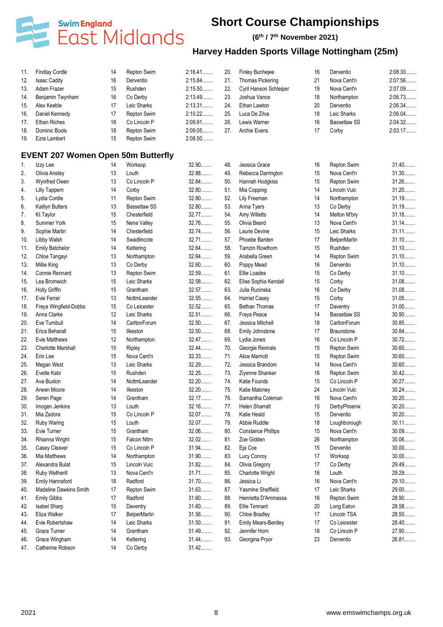

#### **(6 th / 7 th November 2021)**

| 11. | <b>Findlay Cordle</b>                     | 14 | Repton Swim         | $2:16.41$ | 20. | <b>Finley Bunhejee</b>                   | 16 | Derventio           | 2:08.30 |
|-----|-------------------------------------------|----|---------------------|-----------|-----|------------------------------------------|----|---------------------|---------|
| 12. | <b>Isaac Caddy</b>                        | 16 | Derventio           | 2:15.84   | 21. | Thomas Pickering                         | 21 | Nova Cent'n         | 2:07.56 |
| 13. | Adam Frazer                               | 15 | Rushden             | 2:15.50   | 22. | Cyril Hanson Schleiper                   | 19 | Nova Cent'n         | 2:07.09 |
| 14. | Benjamin Twynham                          | 16 | Co Derby            | 2:13.49   | 23. | Joshua Vance                             | 18 | Northampton         | 2:06.73 |
| 15. | Alex Keeble                               | 17 | Leic Sharks         | 2:13.31   | 24. | Ethan Lawton                             | 20 | Derventio           | 2:06.34 |
| 16. | Daniel Kennedy                            | 17 | Repton Swim         | 2:10.22   | 25. | Luca De Zilva                            | 18 | Leic Sharks         | 2:06.04 |
| 17. | <b>Ethan Riches</b>                       | 18 | Co Lincoln P        | 2:09.91   | 26. | Lewis Warner                             | 16 | <b>Bassetlaw SS</b> | 2:04.32 |
| 18. | Dominic Bools                             | 18 | Repton Swim         | 2:09.05   | 27. | Archie Evans                             | 17 | Corby               | 2:03.17 |
| 19. | Ezra Lambert                              | 15 | Repton Swim         | 2:08.50   |     |                                          |    |                     |         |
|     | <b>EVENT 207 Women Open 50m Butterfly</b> |    |                     |           |     |                                          |    |                     |         |
| 1.  | Izzy Lee                                  | 14 | Worksop             | 32.90     | 48. | Jessica Grace                            | 16 | Repton Swim         | $31.40$ |
| 2.  | Olivia Anstey                             | 13 | Louth               | 32.88     | 49. | Rebecca Darrington                       | 15 | Nova Cent'n         | 31.30   |
| 3.  | <b>Wynifred Owen</b>                      | 13 | Co Lincoln P        | 32.84     | 50. | Hannah Hodgkiss                          | 15 | Repton Swim         | 31.26   |
| 4.  | <b>Lilly Tappern</b>                      | 14 | Corby               | 32.80     | 51. | Mia Copping                              | 14 | Lincoln Vulc        | $31.20$ |
| 5.  | Lydia Cordle                              | 11 | Repton Swim         | 32.80     | 52. | Lily Freeman                             | 14 | Northampton         | 31.19.  |
| 6.  | <b>Kaitlyn Butters</b>                    | 13 | <b>Bassetlaw SS</b> | 32.80     | 53. | Anna Tyers                               | 13 | Co Derby            | 31.19.  |
| 7.  | <b>Kt Taylor</b>                          | 15 | Chesterfield        | 32.77     | 54. | Amy Willetts                             | 14 | Melton M'bry        | 31.18   |
| 8.  | Summer York                               | 15 | Nene Valley         | 32.76     | 55. | Olivia Beard                             | 13 | Nova Cent'n         | 31.14   |
| 9.  | Sophie Martin                             | 14 | Chesterfield        | 32.74     | 56. | Laurie Devine                            | 15 | Leic Sharks         | $31.11$ |
| 10. | Libby Walsh                               | 14 | Swadlincote         | 32.71     | 57. | Phoebe Barden                            | 17 | <b>BelperMarlin</b> | $31.10$ |
| 11. | <b>Emily Batchelor</b>                    | 14 | Kettering           | 32.64     | 58. | Tamzin Rowthorn                          | 15 | Rushden             | $31.10$ |
| 12. | Chloe Tangayi                             | 13 | Northampton         | 32.64     | 59. | Arabella Green                           | 14 | Repton Swim         | $31.10$ |
| 13. | Millie King                               | 13 | Co Derby            | 32.60     | 60. | Poppy Mead                               | 16 | Derventio           | $31.10$ |
| 14. | Connie Rennard                            | 13 | Repton Swim         | 32.59     | 61. | Ellie Loades                             | 15 | Co Derby            | $31.10$ |
| 15. | Lea Bromwich                              | 15 | Leic Sharks         | 32.58     | 62. | Elise Sophia Kendall                     | 15 | Corby               | 31.08   |
| 16. | Holly Griffin                             | 15 | Grantham            | 32.57     | 63. | Julia Rucinska                           | 16 | Co Derby            | 31.08   |
| 17. | Evie Ferrar                               | 13 | NottmLeander        | 32.55     | 64. | <b>Harriet Casey</b>                     | 15 | Corby               | 31.05   |
| 18. | Freya Wingfield-Dobbs                     | 15 | Co Leicester        | 32.52     | 65. | <b>Bethan Thomas</b>                     | 17 | Daventry            | $31.00$ |
| 19. | Anna Clarke                               | 12 | Leic Sharks         | 32.51     | 66. | Freya Peace                              | 14 | <b>Bassetlaw SS</b> | 30.90   |
| 20. | Eve Turnbull                              | 14 | CarltonForum        | 32.50     | 67. | Jessica Mitchell                         | 18 | CarltonForum        | 30.85   |
| 21. | Erica Beharall                            | 15 | Ilkeston            | 32.50     | 68. | Emily Johnstone                          | 17 | <b>Braunstone</b>   | 30.84   |
| 22. | Evie Matthews                             | 12 | Northampton         | 32.47     | 69. | Lydia Jones                              | 16 | Co Lincoln P        | $30.72$ |
| 23. |                                           | 15 |                     | 32.44     | 70. |                                          |    |                     | $30.60$ |
|     | <b>Charlotte Marshall</b>                 |    | Ripley              |           |     | Georgie Rennals<br><b>Alice Marriott</b> | 15 | Repton Swim         | $30.60$ |
| 24. | Erin Lee                                  | 15 | Nova Cent'n         | 32.33     | 71. |                                          | 15 | Repton Swim         |         |
| 25. | Megan West                                | 13 | Leic Sharks         | 32.29     | 72. | Jessica Brandom                          | 14 | Nova Cent'n         | $30.60$ |
| 26. | Evette Kabi                               | 15 | Rushden             | 32.25     | 73. | Ziyenne Shanker                          | 16 | Repton Swim         | $30.42$ |
| 27. | Ava Buxton                                | 14 | NottmLeander        | 32.20     | 74. | Katie Founds                             | 15 | Co Lincoln P        | 30.27   |
| 28. | Arwen Moore                               | 14 | Ilkeston            | 32.20     | 75. | Katie Maloney                            | 24 | Lincoln Vulc        | 30.24   |
| 29. | Seren Page                                | 14 | Grantham            | 32.17     | 76. | Samantha Coleman                         | 16 | Nova Cent'n         | $30.20$ |
| 30. | Imogen Jenkins                            | 13 | Louth               | 32.16     | 77. | <b>Helen Sharratt</b>                    | 15 | DerbyPhoenix        | 30.20   |
| 31. | Mia Zadora                                | 15 | Co Lincoln P        | 32.07     | 78. | Katie Heald                              | 15 | Derventio           | $30.20$ |
| 32. | Ruby Waring                               | 15 | Louth               | 32.07     | 79. | Abbie Ruddle                             | 18 | Loughborough        | $30.11$ |
| 33. | Evie Turner                               | 15 | Grantham            | 32.06     | 80. | <b>Constance Phillips</b>                | 15 | Nova Cent'n         | 30.09   |
| 34. | Rhianna Wright                            | 15 | <b>Falcon Nttm</b>  | 32.02     | 81. | Zoe Gidden                               | 26 | Northampton         | $30.06$ |
| 35. | Casey Cleaver                             | 15 | Co Lincoln P        | 31.94     | 82. | Eja Coe                                  | 15 | Derventio           | $30.00$ |
| 36. | <b>Mia Matthews</b>                       | 14 | Northampton         | 31.90     | 83. | Lucy Conroy                              | 17 | Worksop             | $30.00$ |
| 37. | Alexandra Bulat                           | 15 | Lincoln Vulc        | 31.82     | 84. | Olivia Gregory                           | 17 | Co Derby            | 29.49   |
| 38. | Ruby Wetherill                            | 13 | Nova Cent'n         | 31.71     | 85. | Charlotte Wright                         | 16 | Louth               | 29.29   |
| 39. | Emily Hannaford                           | 18 | Radford             | 31.70     | 86. | Jessica Li                               | 16 | Nova Cent'n         | 29.10   |
| 40. | Madeline Dawkins Smith                    | 17 | Repton Swim         | 31.63     | 87. | Yasmine Sheffield                        | 17 | Leic Sharks         | 29.00   |
| 41. | <b>Emily Gibbs</b>                        | 17 | Radford             | $31.60$   | 88. | Henrietta D'Ammassa                      | 16 | Repton Swim         | 28.90   |
| 42. | <b>Isabel Sharp</b>                       | 15 | Daventry            | $31.60$   | 89. | Ellie Tennant                            | 20 | Long Eaton          | 28.58   |
| 43. | Eliza Walker                              | 17 | <b>BelperMarlin</b> | 31.56     | 90. | Chloe Bradley                            | 17 | Lincoln TSA         | 28.50   |
| 44. | Evie Robertshaw                           | 14 | Leic Sharks         | 31.50     | 91. | Emily Mears-Bentley                      | 17 | Co Leicester        | 28.40   |
| 45. | Grace Turner                              | 14 | Grantham            | 31.49     | 92. | Jennifer Horn                            | 18 | Co Lincoln P        | 27.90   |
| 46. | Grace Wingham                             | 14 | Kettering           | 31.44     | 93. | Georgina Pryor                           | 23 | Derventio           | 26.81   |
| 47. | Catherine Robson                          | 14 | Co Derby            | $31.42$   |     |                                          |    |                     |         |
|     |                                           |    |                     |           |     |                                          |    |                     |         |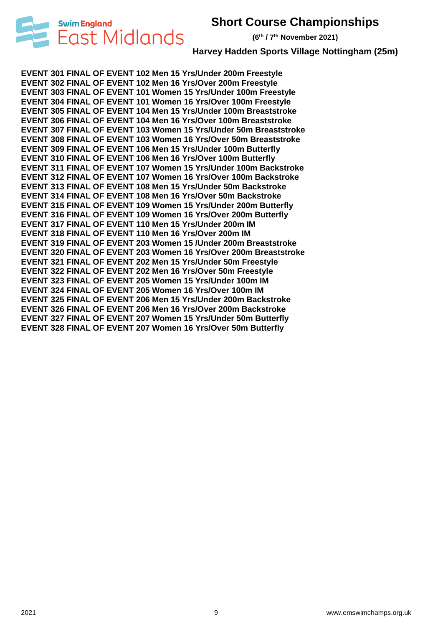



**(6 th / 7 th November 2021)**

**Harvey Hadden Sports Village Nottingham (25m)**

**EVENT 301 FINAL OF EVENT 102 Men 15 Yrs/Under 200m Freestyle EVENT 302 FINAL OF EVENT 102 Men 16 Yrs/Over 200m Freestyle EVENT 303 FINAL OF EVENT 101 Women 15 Yrs/Under 100m Freestyle EVENT 304 FINAL OF EVENT 101 Women 16 Yrs/Over 100m Freestyle EVENT 305 FINAL OF EVENT 104 Men 15 Yrs/Under 100m Breaststroke EVENT 306 FINAL OF EVENT 104 Men 16 Yrs/Over 100m Breaststroke EVENT 307 FINAL OF EVENT 103 Women 15 Yrs/Under 50m Breaststroke EVENT 308 FINAL OF EVENT 103 Women 16 Yrs/Over 50m Breaststroke EVENT 309 FINAL OF EVENT 106 Men 15 Yrs/Under 100m Butterfly EVENT 310 FINAL OF EVENT 106 Men 16 Yrs/Over 100m Butterfly EVENT 311 FINAL OF EVENT 107 Women 15 Yrs/Under 100m Backstroke EVENT 312 FINAL OF EVENT 107 Women 16 Yrs/Over 100m Backstroke EVENT 313 FINAL OF EVENT 108 Men 15 Yrs/Under 50m Backstroke EVENT 314 FINAL OF EVENT 108 Men 16 Yrs/Over 50m Backstroke EVENT 315 FINAL OF EVENT 109 Women 15 Yrs/Under 200m Butterfly EVENT 316 FINAL OF EVENT 109 Women 16 Yrs/Over 200m Butterfly EVENT 317 FINAL OF EVENT 110 Men 15 Yrs/Under 200m IM EVENT 318 FINAL OF EVENT 110 Men 16 Yrs/Over 200m IM EVENT 319 FINAL OF EVENT 203 Women 15 /Under 200m Breaststroke EVENT 320 FINAL OF EVENT 203 Women 16 Yrs/Over 200m Breaststroke EVENT 321 FINAL OF EVENT 202 Men 15 Yrs/Under 50m Freestyle EVENT 322 FINAL OF EVENT 202 Men 16 Yrs/Over 50m Freestyle EVENT 323 FINAL OF EVENT 205 Women 15 Yrs/Under 100m IM EVENT 324 FINAL OF EVENT 205 Women 16 Yrs/Over 100m IM EVENT 325 FINAL OF EVENT 206 Men 15 Yrs/Under 200m Backstroke EVENT 326 FINAL OF EVENT 206 Men 16 Yrs/Over 200m Backstroke EVENT 327 FINAL OF EVENT 207 Women 15 Yrs/Under 50m Butterfly EVENT 328 FINAL OF EVENT 207 Women 16 Yrs/Over 50m Butterfly**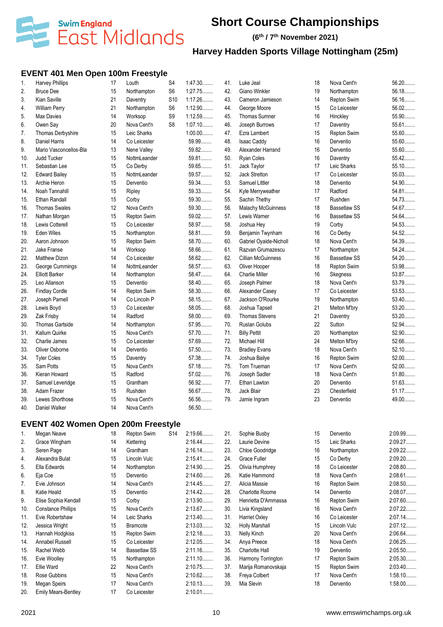

**(6 th / 7 th November 2021)**

# **Harvey Hadden Sports Village Nottingham (25m)**

### **EVENT 401 Men Open 100m Freestyle**

| 1.  | <b>Harvey Phillips</b>                     | 17 | Louth        | S <sub>4</sub>  | 1:47.30   | 41. | Luke Jeal                 | 18 | Nova Cent'n         | 56.20                |
|-----|--------------------------------------------|----|--------------|-----------------|-----------|-----|---------------------------|----|---------------------|----------------------|
| 2.  | <b>Bruce Dee</b>                           | 15 | Northampton  | S6              | 1:27.75   | 42. | Giano Winkler             | 19 | Northampton         | 56.18                |
| 3.  | Kian Saville                               | 21 | Daventry     | S <sub>10</sub> | 1:17.26   | 43. | Cameron Jamieson          | 14 | Repton Swim         | 56.16                |
| 4.  | William Perry                              | 21 | Northampton  | S6              | 1:12.90   | 44. | George Moore              | 15 | Co Leicester        | 56.02                |
| 5.  | Max Davies                                 | 14 | Worksop      | S9              | 1:12.59   | 45. | Thomas Sumner             | 16 | Hinckley            | 55.90                |
| 6.  | Owen Say                                   | 20 | Nova Cent'n  | S <sub>8</sub>  | $1:07.10$ | 46. | Joseph Burrows            | 17 | Daventry            | 55.61                |
| 7.  | Thomas Derbyshire                          | 15 | Leic Sharks  |                 | $1:00.00$ | 47. | Ezra Lambert              | 15 | Repton Swim         | 55.60                |
| 8.  | Daniel Harris                              | 14 | Co Leicester |                 | 59.99     | 48. | Isaac Caddy               | 16 | Derventio           | 55.60                |
| 9.  | Mario Vasconcellos-Bla                     | 13 | Nene Valley  |                 | 59.82     | 49. | Alexander Harrand         | 16 | Derventio           | 55.60                |
| 10. | <b>Judd Tucker</b>                         | 15 | NottmLeander |                 | 59.81     | 50. | Ryan Coles                | 16 | Daventry            | 55.42                |
| 11. | Sebastian Lee                              | 15 | Co Derby     |                 | 59.65     | 51. | Jack Taylor               | 17 | Leic Sharks         | 55.10                |
| 12. | <b>Edward Bailey</b>                       | 15 | NottmLeander |                 | 59.57     | 52. | Jack Stretton             | 17 | Co Leicester        | 55.03                |
| 13. | Archie Heron                               | 15 | Derventio    |                 | 59.34     | 53. | Samuel Littler            | 18 | Derventio           | 54.90                |
| 14. | Noah Tannahill                             | 15 | Ripley       |                 | 59.33     | 54. | Kyle Merryweather         | 17 | Radford             | 54.81                |
| 15. | <b>Ethan Randall</b>                       | 15 | Corby        |                 | 59.30     | 55. | Sachin Thethy             | 17 | Rushden             | 54.73                |
| 16. | <b>Thomas Swales</b>                       | 12 | Nova Cent'n  |                 | 59.30     | 56. | <b>Malachy McGuinness</b> | 18 | <b>Bassetlaw SS</b> | 54.67                |
| 17. | Nathan Morgan                              | 15 | Repton Swim  |                 | 59.02     | 57. | Lewis Warner              | 16 | <b>Bassetlaw SS</b> | 54.64                |
| 18. | Lewis Cotterell                            | 15 | Co Leicester |                 | 58.97     | 58. | Joshua Hey                | 19 | Corby               | 54.53                |
| 19. | <b>Eden Wiles</b>                          | 15 | Northampton  |                 | 58.81     | 59. | Benjamin Twynham          | 16 | Co Derby            | 54.52                |
| 20. | Aaron Johnson                              | 15 | Repton Swim  |                 | 58.70     | 60. | Gabriel Oyaide-Nicholl    | 18 | Nova Cent'n         | 54.39                |
| 21. | Jake Franse                                | 14 | Worksop      |                 | 58.66     | 61. | Razvan Grumazescu         | 17 | Northampton         | 54.24                |
| 22. | Matthew Dizon                              | 14 | Co Leicester |                 | 58.62     | 62. | <b>Cillian McGuinness</b> | 16 | <b>Bassetlaw SS</b> | 54.20                |
| 23. | George Cummings                            | 14 | NottmLeander |                 | 58.57     | 63. | Oliver Hooper             | 18 | Repton Swim         | 53.98                |
| 24. | <b>Elliott Barker</b>                      | 14 | Northampton  |                 | 58.47     | 64. | <b>Charlie Miller</b>     | 16 | Skegness            | 53.87                |
| 25. | Leo Allanson                               | 15 | Derventio    |                 | 58.40     | 65. | Joseph Palmer             | 18 | Nova Cent'n         | 53.79                |
| 26. | <b>Findlay Cordle</b>                      | 14 | Repton Swim  |                 | 58.30     | 66. | Alexander Casey           | 17 | Co Leicester        | 53.53                |
| 27. | Joseph Parnell                             | 14 | Co Lincoln P |                 | 58.15     | 67. | Jackson O'Rourke          | 19 | Northampton         | 53.40                |
| 28. | Lewis Boyd                                 | 13 | Co Leicester |                 | 58.05     | 68. | Joshua Tapsell            | 21 | Melton M'bry        | $53.20$              |
| 29. | Zak Frisby                                 | 14 | Radford      |                 | 58.00     | 69. | Thomas Stevens            | 21 | Daventry            | 53.20                |
| 30. | <b>Thomas Gartside</b>                     | 14 | Northampton  |                 | 57.95     | 70. | Ruslan Golubs             | 22 | Sutton              | 52.94                |
| 31. | Kallum Quirke                              | 15 | Nova Cent'n  |                 | 57.70     | 71. | <b>Billy Pettit</b>       | 20 | Northampton         | 52.90                |
| 32. | Charlie James                              | 15 | Co Leicester |                 | 57.69     | 72. | Michael Hill              | 24 | Melton M'bry        | 52.66                |
| 33. | Oliver Osborne                             | 14 | Derventio    |                 | 57.50     | 73. | <b>Bradley Evans</b>      | 18 | Nova Cent'n         | 52.10                |
| 34. | <b>Tyler Coles</b>                         | 15 | Daventry     |                 | 57.38     | 74. | Joshua Bailye             | 16 | Repton Swim         | 52.00                |
| 35. | Sam Potts                                  | 15 | Nova Cent'n  |                 | 57.18     | 75. | Tom Trueman               | 17 | Nova Cent'n         | 52.00                |
| 36. | Kieran Howard                              | 15 | Radford      |                 | 57.02     | 76. | Joseph Sadler             | 18 | Nova Cent'n         | 51.80                |
| 37. | Samuel Leveridge                           | 15 | Grantham     |                 | 56.92     | 77. | Ethan Lawton              | 20 | Derventio           | 51.63                |
| 38. | Adam Frazer                                | 15 | Rushden      |                 | 56.67     | 78. | Jack Blair                | 23 | Chesterfield        | 51.17                |
| 39. | Lewes Shorthose                            | 15 | Nova Cent'n  |                 | 56.56     | 79. | Jamie Ingram              | 23 | Derventio           | 49.00                |
| 40. | Daniel Walker                              | 14 | Nova Cent'n  |                 | 56.50     |     |                           |    |                     |                      |
|     | <b>EVENT 402 Women Open 200m Freestyle</b> |    |              |                 |           |     |                           |    |                     |                      |
| 1.  | Megan Neave                                | 18 | Repton Swim  | <b>S14</b>      | 2:19.66   | 21. | Sophie Busby              | 15 | Derventio           | 2:09.99              |
| 2.  | Grace Wingham                              | 14 | Kettering    |                 | 2:16.44   | 22. | Laurie Devine             | 15 | Leic Sharks         | 2:09.27              |
| 3.  | Seren Page                                 | 14 | Grantham     |                 | $2:16.14$ | 23. | Chloe Goodridge           | 16 | Northampton         | 2:09.22              |
| 4.  | Alexandra Bulat                            | 15 | Lincoln Vulc |                 | 2:15.41   | 24. | <b>Grace Fuller</b>       | 15 | Co Derby            | 2:09.20              |
| 5.  | Ella Edwards                               | 14 | Northampton  |                 | 2:14.90   | 25. | Olivia Humphrey           | 18 | Co Leicester        | 2:08.80              |
| 6.  | Eja Coe                                    | 15 | Derventio    |                 | 2:14.60   | 26. | Katie Hammond             | 18 | Nova Cent'n         | 2:08.61              |
| 7.  | Evie Johnson                               | 14 | Nova Cent'n  |                 | 2:14.45   | 27. | Alicia Massie             | 16 | Repton Swim         | 2:08.50              |
| 8.  | Katie Heald                                | 15 | Derventio    |                 | 2:14.42   | 28. | Charlotte Roome           | 14 | Derventio           | 2:08.07              |
| 9.  | Elise Sophia Kendall                       | 15 | Corby        |                 | 2:13.90   | 29. | Henrietta D'Ammassa       | 16 | Repton Swim         | 2:07.60              |
| 10. | <b>Constance Phillips</b>                  | 15 | Nova Cent'n  |                 | 2:13.67   | 30. | Livia Kingsland           | 16 | Nova Cent'n         | 2:07.22              |
|     |                                            |    |              |                 |           |     |                           |    |                     | $\sim$ $\sim$ $\sim$ |

| 2.              | Grace Wingham              | 14 | Kettering           | $2:16.44$ | 22. | Laurie Devine          | 15 | Leic Sharks  | 2:09.27        |
|-----------------|----------------------------|----|---------------------|-----------|-----|------------------------|----|--------------|----------------|
| 3.              | Seren Page                 | 14 | Grantham            | $2:16.14$ | 23. | Chloe Goodridge        | 16 | Northampton  | $2:09.22\dots$ |
| 4.              | Alexandra Bulat            | 15 | Lincoln Vulc        | $2:15.41$ | 24. | Grace Fuller           | 15 | Co Derby     | $2:09.20$      |
| 5.              | Ella Edwards               | 14 | Northampton         | 2:14.90   | 25. | Olivia Humphrey        | 18 | Co Leicester | 2:08.80        |
| 6.              | Eja Coe                    | 15 | Derventio           | 2:14.60   | 26. | Katie Hammond          | 18 | Nova Cent'n  | 2:08.61        |
| 7.              | Evie Johnson               | 14 | Nova Cent'n         | 2:14.45   | 27. | Alicia Massie          | 16 | Repton Swim  | 2:08.50        |
| 8.              | Katie Heald                | 15 | Derventio           | 2:14.42   | 28. | <b>Charlotte Roome</b> | 14 | Derventio    | 2:08.07        |
| 9.              | Elise Sophia Kendall       | 15 | Corby               | 2:13.90   | 29. | Henrietta D'Ammassa    | 16 | Repton Swim  | 2:07.60        |
| 10.             | <b>Constance Phillips</b>  | 15 | Nova Cent'n         | 2:13.67   | 30. | Livia Kingsland        | 16 | Nova Cent'n  | 2:07.22        |
| 11.             | Evie Robertshaw            | 14 | Leic Sharks         | 2:13.40   | 31. | Harriet Oxley          | 16 | Co Leicester | 2:07.14        |
| 12.             | Jessica Wright             | 15 | <b>Bramcote</b>     | 2:13.03   | 32. | <b>Holly Marshall</b>  | 15 | Lincoln Vulc | 2:07.12        |
| 13.             | Hannah Hodgkiss            | 15 | Repton Swim         | 2:12.18   | 33. | Nelly Kinch            | 20 | Nova Cent'n  | 2:06.64        |
| 14.             | Annabel Russell            | 15 | Co Leicester        | 2:12.05   | 34. | Anya Preece            | 18 | Nova Cent'n  | 2:06.25        |
| 15.             | Rachel Webb                | 14 | <b>Bassetlaw SS</b> | 2:11.16   | 35. | <b>Charlotte Hall</b>  | 19 | Derventio    | 2:05.50        |
| 16.             | Evie Woolley               | 15 | Northampton         | $2:11.10$ | 36. | Harmony Torrington     | 17 | Repton Swim  | 2:05.30        |
| 17 <sub>1</sub> | Ellie Ward                 | 22 | Nova Cent'n         | 2:10.75   | 37. | Marija Romanovskaja    | 15 | Repton Swim  | 2:03.40        |
| 18.             | Rose Gubbins               | 15 | Nova Cent'n         | 2:10.62   | 38. | Freya Colbert          | 17 | Nova Cent'n  | 1:58.10        |
| 19.             | Megan Speirs               | 17 | Nova Cent'n         | 2:10.13   | 39. | Mia Slevin             | 18 | Derventio    | $1:58.00$      |
| 20.             | <b>Emily Mears-Bentley</b> | 17 | Co Leicester        | $2:10.01$ |     |                        |    |              |                |
|                 |                            |    |                     |           |     |                        |    |              |                |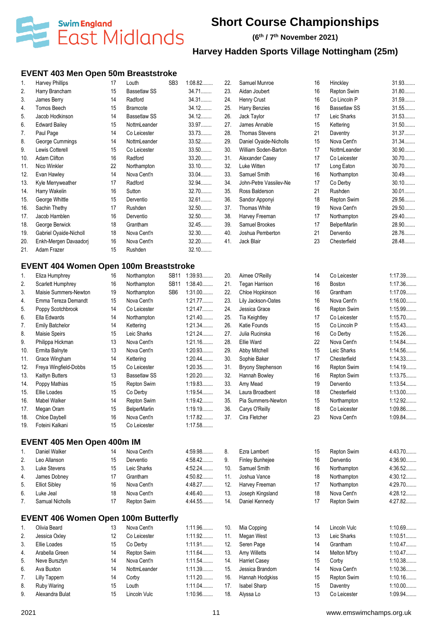

**(6 th / 7 th November 2021)**

### **Harvey Hadden Sports Village Nottingham (25m)**

#### **EVENT 403 Men Open 50m Breaststroke**

| 1.  | Harvey Phillips        | 17 | Louth               | SB <sub>3</sub> | 1:08.82 | 22.             | Samuel Munroe          | 16 | Hinckley            | 31.93   |
|-----|------------------------|----|---------------------|-----------------|---------|-----------------|------------------------|----|---------------------|---------|
| 2.  | Harry Brancham         | 15 | <b>Bassetlaw SS</b> |                 | 34.71   | 23.             | Aidan Joubert          | 16 | Repton Swim         | 31.80   |
| 3.  | James Berry            | 14 | Radford             |                 | 34.31   | 24.             | Henry Crust            | 16 | Co Lincoln P        | 31.59   |
| 4.  | Tomos Beech            | 15 | <b>Bramcote</b>     |                 | 34.12   | 25.             | Harry Benzies          | 16 | <b>Bassetlaw SS</b> | 31.55   |
| 5.  | Jacob Hodkinson        | 14 | <b>Bassetlaw SS</b> |                 | 34.12   | 26.             | Jack Taylor            | 17 | Leic Sharks         | 31.53   |
| 6.  | <b>Edward Bailey</b>   | 15 | NottmLeander        |                 | 33.97   | 27.             | James Annable          | 15 | Kettering           | $31.50$ |
| 7.  | Paul Page              | 14 | Co Leicester        |                 | 33.73   | 28.             | <b>Thomas Stevens</b>  | 21 | Daventry            | 31.37   |
| 8.  | George Cummings        | 14 | NottmLeander        |                 | 33.52   | 29.             | Daniel Oyaide-Nicholls | 15 | Nova Cent'n         | 31.34   |
| 9.  | Lewis Cotterell        | 15 | Co Leicester        |                 | 33.50   | 30 <sub>1</sub> | William Soden-Barton   | 17 | NottmLeander        | 30.90   |
| 10. | Adam Clifton           | 16 | Radford             |                 | $33.20$ | 31.             | Alexander Casey        | 17 | Co Leicester        | $30.70$ |
| 11. | Nico Winkler           | 22 | Northampton         |                 | $33.10$ | 32.             | Luke Witten            | 17 | Long Eaton          | $30.70$ |
| 12. | Evan Hawley            | 14 | Nova Cent'n         |                 | 33.04   | 33.             | Samuel Smith           | 16 | Northampton         | 30.49   |
| 13. | Kyle Merryweather      | 17 | Radford             |                 | 32.94   | 34.             | John-Petre Vassilev-Ne | 17 | Co Derby            | $30.10$ |
| 14. | Harry Wakelin          | 16 | Sutton              |                 | 32.70   | 35.             | Ross Balderson         | 21 | Rushden             | $30.01$ |
| 15. | George Whittle         | 15 | Derventio           |                 | 32.61   | 36.             | Sandor Apponyi         | 18 | Repton Swim         | 29.56   |
| 16. | Sachin Thethy          | 17 | Rushden             |                 | 32.50   | 37.             | Thomas White           | 19 | Nova Cent'n         | 29.50   |
| 17. | Jacob Hamblen          | 16 | Derventio           |                 | 32.50   | 38.             | Harvey Freeman         | 17 | Northampton         | 29.40   |
| 18. | George Berwick         | 18 | Grantham            |                 | 32.45   | 39.             | Samuel Brookes         | 17 | <b>BelperMarlin</b> | 28.90   |
| 19. | Gabriel Oyaide-Nicholl | 18 | Nova Cent'n         |                 | 32.30   | 40.             | Joshua Pemberton       | 21 | Derventio           | 28.76   |
| 20. | Enkh-Mergen Davaadorj  | 16 | Nova Cent'n         |                 | $32.20$ | 41.             | Jack Blair             | 23 | Chesterfield        | 28.48   |
| 21. | Adam Frazer            | 15 | Rushden             |                 | 32.10   |                 |                        |    |                     |         |

### **EVENT 404 Women Open 100m Breaststroke**

| 1.  | Eliza Humphrey         | 16 | Northampton         | <b>SB11</b>     | 1:39.93   | 20. | Aimee O'Reilly           | 14 | Co Leicester  | 1:17.39   |
|-----|------------------------|----|---------------------|-----------------|-----------|-----|--------------------------|----|---------------|-----------|
| 2.  | Scarlett Humphrey      | 16 | Northampton         | <b>SB11</b>     | 1:38.40   | 21. | Tegan Harrison           | 16 | <b>Boston</b> | 1:17.36   |
| 3.  | Maisie Summers-Newton  | 19 | Northampton         | SB <sub>6</sub> | $1:31.00$ | 22. | Chloe Hopkinson          | 16 | Grantham      | 1:17.09   |
| 4.  | Emma Tereza Demandt    | 15 | Nova Cent'n         |                 | 1:21.77   | 23. | Lily Jackson-Oates       | 16 | Nova Cent'n   | $1:16.00$ |
| 5.  | Poppy Scotchbrook      | 14 | Co Leicester        |                 | 1:21.47   | 24. | Jessica Grace            | 16 | Repton Swim   | 1:15.99   |
| 6.  | Ella Edwards           | 14 | Northampton         |                 | $1:21.40$ | 25. | <b>Tia Keightley</b>     | 17 | Co Leicester  | 1:15.70   |
| 7.  | <b>Emily Batchelor</b> | 14 | Kettering           |                 | 1:21.34   | 26. | Katie Founds             | 15 | Co Lincoln P  | 1:15.43   |
| 8.  | Maisie Speirs          | 15 | Leic Sharks         |                 | 1:21.24   | 27. | Julia Rucinska           | 16 | Co Derby      | 1:15.26   |
| 9.  | Philippa Hickman       | 13 | Nova Cent'n         |                 | $1:21.16$ | 28. | Ellie Ward               | 22 | Nova Cent'n   | 1:14.84   |
| 10. | Ermita Balnyte         | 13 | Nova Cent'n         |                 | 1:20.93   | 29. | Abby Mitchell            | 15 | Leic Sharks   | 1:14.56   |
| 11. | Grace Wingham          | 14 | Kettering           |                 | $1:20.44$ | 30. | Sophie Baker             | 17 | Chesterfield  | 1:14.33   |
| 12. | Freya Wingfield-Dobbs  | 15 | Co Leicester        |                 | 1:20.35   | 31. | <b>Bryony Stephenson</b> | 16 | Repton Swim   | 1:14.19   |
| 13. | Kaitlyn Butters        | 13 | Bassetlaw SS        |                 | $1:20.20$ | 32. | Hannah Bowley            | 16 | Repton Swim   | 1:13.75   |
| 14. | Poppy Mathias          | 15 | Repton Swim         |                 | 1:19.83   | 33. | Amy Mead                 | 19 | Derventio     | 1:13.54   |
| 15. | Ellie Loades           | 15 | Co Derby            |                 | 1:19.54   | 34. | Laura Broadbent          | 18 | Chesterfield  | $1:13.00$ |
| 16. | Mabel Walker           | 14 | Repton Swim         |                 | 1:19.42   | 35. | Pia Summers-Newton       | 15 | Northampton   | 1:12.92   |
| 17. | Megan Oram             | 15 | <b>BelperMarlin</b> |                 | 1:19.19   | 36. | Carys O'Reilly           | 18 | Co Leicester  | 1:09.86   |
| 18. | Chloe Daybell          | 16 | Nova Cent'n         |                 | 1:17.82   | 37. | Cira Fletcher            | 23 | Nova Cent'n   | 1:09.84   |
| 19. | Foteini Kalkani        | 15 | Co Leicester        |                 | 1:17.58   |     |                          |    |               |           |

#### **EVENT 405 Men Open 400m IM**

|    | Daniel Walker        |    | Nova Cent'n | 4:59.98 | 8.  | Ezra Lambert     |    | Repton Swim | 4:43.70        |
|----|----------------------|----|-------------|---------|-----|------------------|----|-------------|----------------|
| 2. | Leo Allanson         |    | Derventio   | 4:58.42 | 9.  | Finley Bunheiee  | 16 | Derventio   | 4:36.90        |
| 3. | Luke Stevens         | 15 | Leic Sharks | 4:52.24 | 10. | Samuel Smith     | 16 | Northampton | 4:36.52        |
| 4. | James Dobney         |    | Grantham    | 4:50.82 |     | Joshua Vance     | 18 | Northampton | $4:30.12\dots$ |
| 5. | <b>Elliot Siblev</b> | 16 | Nova Cent'n | 4:48.27 | 12. | Harvev Freeman   |    | Northampton | 4.29.70        |
| 6. | Luke Jeal            | 18 | Nova Cent'n | 4:46.40 | 13. | Joseph Kingsland | 18 | Nova Cent'n | $4.28.12\dots$ |
|    | Samual Nicholls      |    | Repton Swim | 4.44.55 | 14. | Daniel Kennedy   |    | Repton Swim | 4.27.82        |

#### **EVENT 406 Women Open 100m Butterfly**

|    | Olivia Beard    | 13 | Nova Cent'n  | 1:11.96   | 10. | Mia Copping          | 14 | Lincoln Vulc       | 1:10.69   |
|----|-----------------|----|--------------|-----------|-----|----------------------|----|--------------------|-----------|
| 2. | Jessica Oxley   | 12 | Co Leicester | 1:11.92   | 11. | Megan West           | 13 | Leic Sharks        | $1:10.51$ |
| 3. | Ellie Loades    | 15 | Co Derby     | 1:11.91   | 12. | Seren Page           | 14 | Grantham           | 1:10.47   |
| 4. | Arabella Green  | 14 | Repton Swim  | $1:11.64$ | 13. | Amy Willetts         | 14 | Melton M'bry       | 1:10.47   |
| 5. | Neve Bursztyn   | 14 | Nova Cent'n  | 1:11.54   | 14. | <b>Harriet Casev</b> | 15 | Corby              | 1:10.38   |
| 6. | Ava Buxton      | 14 | NottmLeander | 1:11.39   | 15. | Jessica Brandom      | 14 | Nova Cent'n        | 1:10.36   |
|    | Lilly Tappern   | 14 | Corby        | $1:11.20$ | 16. | Hannah Hodgkiss      | 15 | <b>Repton Swim</b> | $1:10.16$ |
| 8. | Ruby Waring     | 15 | Louth        | $1:11.04$ | 17. | Isabel Sharp         | 15 | Daventry           | $1:10.00$ |
| 9. | Alexandra Bulat | 15 | Lincoln Vulc | 1:10.96   | 18. | Alvssa Lo            | 13 | Co Leicester       | 1:09.94   |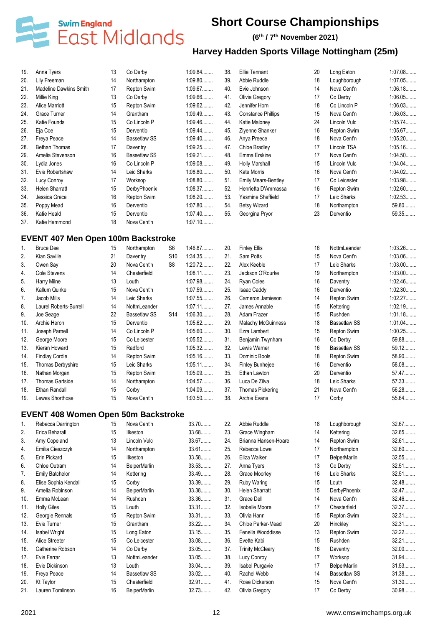

### **(6 th / 7 th November 2021)**

| 19. | Anna Tyers                                 | 13 | Co Derby            |                 | 1:09.84   | 38. | Ellie Tennant              | 20 | Long Eaton          | 1:07.08   |
|-----|--------------------------------------------|----|---------------------|-----------------|-----------|-----|----------------------------|----|---------------------|-----------|
| 20. | Lily Freeman                               | 14 | Northampton         |                 | 1:09.80   | 39. | Abbie Ruddle               | 18 | Loughborough        | 1:07.05   |
| 21. | <b>Madeline Dawkins Smith</b>              | 17 | Repton Swim         |                 | 1:09.67   | 40. | Evie Johnson               | 14 | Nova Cent'n         | 1:06.18   |
| 22. | Millie King                                | 13 | Co Derby            |                 | 1:09.66   | 41. | Olivia Gregory             | 17 | Co Derby            | 1:06.05   |
| 23. | <b>Alice Marriott</b>                      | 15 | Repton Swim         |                 | 1:09.62   | 42. | Jennifer Horn              | 18 | Co Lincoln P        | 1:06.03   |
| 24. | Grace Turner                               | 14 | Grantham            |                 | 1:09.49   | 43. | <b>Constance Phillips</b>  | 15 | Nova Cent'n         | 1:06.03   |
| 25. | Katie Founds                               | 15 | Co Lincoln P        |                 | 1:09.46   | 44. | Katie Maloney              | 24 | Lincoln Vulc        | 1:05.74   |
|     |                                            | 15 | Derventio           |                 | $1:09.44$ | 45. | Zivenne Shanker            | 16 |                     | 1:05.67   |
| 26. | Eja Coe                                    |    |                     |                 |           |     |                            |    | Repton Swim         |           |
| 27. | Freya Peace                                | 14 | <b>Bassetlaw SS</b> |                 | $1:09.40$ | 46. | Anya Preece                | 18 | Nova Cent'n         | 1:05.20   |
| 28. | <b>Bethan Thomas</b>                       | 17 | Daventry            |                 | 1:09.25   | 47. | <b>Chloe Bradley</b>       | 17 | Lincoln TSA         | 1:05.16   |
| 29. | Amelia Stevenson                           | 16 | <b>Bassetlaw SS</b> |                 | 1:09.21   | 48. | Emma Erskine               | 17 | Nova Cent'n         | 1:04.50   |
| 30. | Lydia Jones                                | 16 | Co Lincoln P        |                 | 1:09.08   | 49. | <b>Holly Marshall</b>      | 15 | Lincoln Vulc        | 1:04.04   |
| 31. | Evie Robertshaw                            | 14 | Leic Sharks         |                 | 1:08.80   | 50. | <b>Kate Morris</b>         | 16 | Nova Cent'n         | 1:04.02   |
| 32. | Lucy Conroy                                | 17 | Worksop             |                 | 1:08.80   | 51. | <b>Emily Mears-Bentley</b> | 17 | Co Leicester        | 1:03.98   |
| 33. | <b>Helen Sharratt</b>                      | 15 | DerbyPhoenix        |                 | 1:08.37   | 52. | Henrietta D'Ammassa        | 16 | Repton Swim         | 1:02.60   |
| 34. | Jessica Grace                              | 16 | Repton Swim         |                 | $1:08.20$ | 53. | Yasmine Sheffield          | 17 | Leic Sharks         | 1:02.53   |
| 35. | Poppy Mead                                 | 16 | Derventio           |                 | 1:07.80   | 54. | <b>Betsy Wizard</b>        | 18 | Northampton         | 59.80     |
| 36. | Katie Heald                                | 15 | Derventio           |                 | $1:07.40$ | 55. | Georgina Pryor             | 23 | Derventio           | 59.35     |
| 37. | Katie Hammond                              | 18 | Nova Cent'n         |                 | $1:07.10$ |     |                            |    |                     |           |
|     |                                            |    |                     |                 |           |     |                            |    |                     |           |
|     | <b>EVENT 407 Men Open 100m Backstroke</b>  |    |                     |                 |           |     |                            |    |                     |           |
| 1.  | <b>Bruce Dee</b>                           | 15 | Northampton         | S6              | 1:46.87   | 20. | <b>Finley Ellis</b>        | 16 | NottmLeander        | 1:03.26   |
| 2.  | Kian Saville                               | 21 | Daventry            | S <sub>10</sub> | 1:34.35   | 21. | Sam Potts                  | 15 | Nova Cent'n         | 1:03.06   |
| 3.  | Owen Say                                   | 20 | Nova Cent'n         | S <sub>8</sub>  | 1:20.72   | 22. | Alex Keeble                | 17 | Leic Sharks         | $1:03.00$ |
| 4.  | Cole Stevens                               | 14 | Chesterfield        |                 | $1:08.11$ | 23. | Jackson O'Rourke           | 19 | Northampton         | $1:03.00$ |
| 5.  | Harry Milne                                | 13 | Louth               |                 | 1:07.98   | 24. | <b>Ryan Coles</b>          | 16 | Daventry            | 1:02.46   |
| 6.  | Kallum Quirke                              | 15 | Nova Cent'n         |                 | 1:07.59   | 25. | <b>Isaac Caddy</b>         | 16 | Derventio           | 1:02.30   |
| 7.  | Jacob Mills                                | 14 | Leic Sharks         |                 | 1:07.55   | 26. | Cameron Jamieson           | 14 | Repton Swim         | 1:02.27   |
| 8.  | Laurel Roberts-Burrell                     | 14 | NottmLeander        |                 | $1:07.11$ | 27. | James Annable              | 15 | Kettering           | 1:02.19   |
|     | Joe Seage                                  | 22 | <b>Bassetlaw SS</b> | S <sub>14</sub> | 1:06.30   | 28. | Adam Frazer                | 15 | Rushden             | 1:01.18   |
| 9.  |                                            |    |                     |                 |           |     |                            |    |                     |           |
| 10. | Archie Heron                               | 15 | Derventio           |                 | 1:05.62   | 29. | <b>Malachy McGuinness</b>  | 18 | <b>Bassetlaw SS</b> | 1:01.04   |
| 11. | Joseph Parnell                             | 14 | Co Lincoln P        |                 | 1:05.60   | 30. | Ezra Lambert               | 15 | Repton Swim         | 1:00.25   |
| 12. | George Moore                               | 15 | Co Leicester        |                 | 1:05.52   | 31. | Benjamin Twynham           | 16 | Co Derby            | 59.88     |
| 13. | Kieran Howard                              | 15 | Radford             |                 | 1:05.32   | 32. | Lewis Warner               | 16 | <b>Bassetlaw SS</b> | 59.12     |
| 14. | <b>Findlay Cordle</b>                      | 14 | Repton Swim         |                 | 1:05.16   | 33. | Dominic Bools              | 18 | Repton Swim         | 58.90     |
| 15. | Thomas Derbyshire                          | 15 | Leic Sharks         |                 | 1:05.11   | 34. | <b>Finley Bunhejee</b>     | 16 | Derventio           | 58.08     |
| 16. | Nathan Morgan                              | 15 | Repton Swim         |                 | 1:05.09   | 35. | Ethan Lawton               | 20 | Derventio           | 57.47     |
| 17. | <b>Thomas Gartside</b>                     | 14 | Northampton         |                 | 1:04.57   | 36. | Luca De Zilva              | 18 | Leic Sharks         | 57.33     |
| 18. | Ethan Randall                              | 15 | Corby               |                 | 1:04.09   | 37. | Thomas Pickering           | 21 | Nova Cent'n         | 56.28     |
| 19. | Lewes Shorthose                            | 15 | Nova Cent'n         |                 | 1:03.50.  | 38. | Archie Evans               | 17 | Corby               | 55.64.    |
|     |                                            |    |                     |                 |           |     |                            |    |                     |           |
|     | <b>EVENT 408 Women Open 50m Backstroke</b> |    |                     |                 |           |     |                            |    |                     |           |
| 1.  | Rebecca Darrington                         | 15 | Nova Cent'n         |                 | 33.70     | 22. | Abbie Ruddle               | 18 | Loughborough        | 32.67     |
| 2.  | Erica Beharall                             | 15 | Ilkeston            |                 | 33.68     | 23. | Grace Wingham              | 14 | Kettering           | 32.65     |
| 3.  | Amy Copeland                               | 13 | Lincoln Vulc        |                 | 33.67     | 24. | Brianna Hansen-Hoare       | 14 | Repton Swim         | 32.61.    |
| 4.  | Emilia Cieszczyk                           | 14 | Northampton         |                 | 33.61     | 25. | Rebecca Lowe               | 17 | Northampton         | 32.60     |
| 5.  | Erin Pickard                               | 15 | Ilkeston            |                 | 33.58     | 26. | Eliza Walker               | 17 | <b>BelperMarlin</b> | 32.55     |
| 6.  | Chloe Outram                               | 14 | <b>BelperMarlin</b> |                 | 33.53     | 27. | Anna Tyers                 | 13 | Co Derby            | 32.51     |
| 7.  | <b>Emily Batchelor</b>                     | 14 | Kettering           |                 | 33.49     | 28. | Grace Moorley              | 16 | Leic Sharks         | 32.51     |
| 8.  | Elise Sophia Kendall                       | 15 | Corby               |                 | 33.39     | 29. | Ruby Waring                | 15 | Louth               | 32.48     |
| 9.  | Amelia Robinson                            | 14 | <b>BelperMarlin</b> |                 | 33.38     | 30. | <b>Helen Sharratt</b>      | 15 | DerbyPhoenix        | 32.47     |
|     | Emma McLean                                | 14 | Rushden             |                 | 33.36     | 31. | <b>Grace Dell</b>          | 14 | Nova Cent'n         | 32.46     |
| 10. |                                            |    |                     |                 |           |     |                            |    |                     |           |
| 11. | <b>Holly Giles</b>                         | 15 | Louth               |                 | 33.31     | 32. | <b>Isobelle Moore</b>      | 17 | Chesterfield        | 32.37     |
| 12. | Georgie Rennals                            | 15 | Repton Swim         |                 | 33.31     | 33. | Olivia Hann                | 15 | Repton Swim         | 32.31     |
| 13. | Evie Turner                                | 15 | Grantham            |                 | 33.22     | 34. | Chloe Parker-Mead          | 20 | Hinckley            | 32.31     |
| 14. | Isabel Wright                              | 15 | Long Eaton          |                 | 33.15     | 35. | Fenella Wooddisse          | 13 | Repton Swim         | 32.22     |
| 15. | Alice Streeter                             | 15 | Co Leicester        |                 | 33.08     | 36. | Evette Kabi                | 15 | Rushden             | 32.21     |
| 16. | Catherine Robson                           | 14 | Co Derby            |                 | 33.05     | 37. | <b>Trinity McCleary</b>    | 16 | Daventry            | $32.00$   |
| 17. | Evie Ferrar                                | 13 | NottmLeander        |                 | 33.05     | 38. | Lucy Conroy                | 17 | Worksop             | 31.94     |
| 18. | Evie Dickinson                             | 13 | Louth               |                 | 33.04     | 39. | Isabel Purgavie            | 17 | <b>BelperMarlin</b> | 31.53     |
| 19. | Freya Peace                                | 14 | <b>Bassetlaw SS</b> |                 | 33.02     | 40. | Rachel Webb                | 14 | <b>Bassetlaw SS</b> | 31.38     |
| 20. | <b>Kt Taylor</b>                           | 15 | Chesterfield        |                 | 32.91     | 41. | Rose Dickerson             | 15 | Nova Cent'n         | 31.30     |
| 21. | Lauren Tomlinson                           | 16 | <b>BelperMarlin</b> |                 | 32.73     | 42. | Olivia Gregory             | 17 | Co Derby            | 30.98     |
|     |                                            |    |                     |                 |           |     |                            |    |                     |           |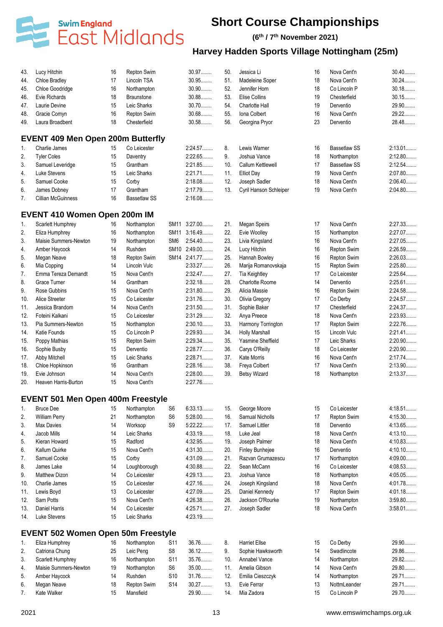

**(6 th / 7 th November 2021)**

| 43.      | Lucy Hitchin                              | 16 | Repton Swim         |                 | 30.97        | 50. | Jessica Li             | 16 | Nova Cent'n         | $30.40$   |
|----------|-------------------------------------------|----|---------------------|-----------------|--------------|-----|------------------------|----|---------------------|-----------|
| 44.      | Chloe Bradley                             | 17 | Lincoln TSA         |                 | 30.95        | 51. | Madeleine Soper        | 18 | Nova Cent'n         | $30.24$   |
| 45.      | Chloe Goodridge                           | 16 | Northampton         |                 | 30.90        | 52. | Jennifer Horn          | 18 | Co Lincoln P        | $30.18$   |
| 46.      | Evie Richards                             | 18 | <b>Braunstone</b>   |                 | 30.88        | 53. | Elise Collins          | 19 | Chesterfield        | $30.15$   |
| 47.      | Laurie Devine                             | 15 | Leic Sharks         |                 | 30.70        | 54. | Charlotte Hall         | 19 | Derventio           | 29.90     |
| 48.      | Gracie Comyn                              | 16 | Repton Swim         |                 | 30.68        | 55. | Iona Colbert           | 16 | Nova Cent'n         | 29.22     |
| 49.      | Laura Broadbent                           | 18 | Chesterfield        |                 | 30.58        | 56. | Georgina Pryor         | 23 | Derventio           | 28.48     |
|          | <b>EVENT 409 Men Open 200m Butterfly</b>  |    |                     |                 |              |     |                        |    |                     |           |
| 1.       | Charlie James                             | 15 | Co Leicester        |                 | 2:24.57      | 8.  | Lewis Warner           | 16 | <b>Bassetlaw SS</b> | 2:13.01   |
| 2.       | <b>Tyler Coles</b>                        | 15 | Daventry            |                 | 2:22.65      | 9.  | Joshua Vance           | 18 | Northampton         | 2:12.80   |
| 3.       | Samuel Leveridge                          | 15 | Grantham            |                 | 2:21.85      | 10. | Callum Kettlewell      | 17 | <b>Bassetlaw SS</b> | 2:12.54   |
| 4.       | Luke Stevens                              | 15 | Leic Sharks         |                 | $2:21.71$    | 11. | <b>Elliot Day</b>      | 19 | Nova Cent'n         | 2:07.80   |
| 5.       | Samuel Cooke                              | 15 | Corby               |                 | 2:18.08      | 12. | Joseph Sadler          | 18 | Nova Cent'n         | 2:06.40   |
|          | James Dobney                              | 17 | Grantham            |                 | 2:17.79      | 13. | Cyril Hanson Schleiper | 19 | Nova Cent'n         | 2:04.80   |
| 6.<br>7. | <b>Cillian McGuinness</b>                 | 16 | <b>Bassetlaw SS</b> |                 | 2:16.08      |     |                        |    |                     |           |
|          |                                           |    |                     |                 |              |     |                        |    |                     |           |
|          | <b>EVENT 410 Women Open 200m IM</b>       |    |                     |                 |              |     |                        |    |                     |           |
| 1.       | Scarlett Humphrey                         | 16 | Northampton         |                 | SM11 3:27.00 | 21. | <b>Megan Speirs</b>    | 17 | Nova Cent'n         | 2:27.33   |
| 2.       | Eliza Humphrey                            | 16 | Northampton         |                 | SM11 3:16.49 | 22. | Evie Woolley           | 15 | Northampton         | 2:27.07   |
| 3.       | Maisie Summers-Newton                     | 19 | Northampton         | SM <sub>6</sub> | 2:54.40      | 23. | Livia Kingsland        | 16 | Nova Cent'n         | 2:27.05   |
| 4.       | Amber Haycock                             | 14 | Rushden             |                 | SM10 2:49.00 | 24. | Lucy Hitchin           | 16 | Repton Swim         | 2:26.59   |
| 5.       | Megan Neave                               | 18 | Repton Swim         |                 | SM14 2:41.77 | 25. | Hannah Bowley          | 16 | Repton Swim         | 2:26.03   |
| 6.       | Mia Copping                               | 14 | Lincoln Vulc        |                 | 2:33.27      | 26. | Marija Romanovskaja    | 15 | Repton Swim         | 2:25.80   |
| 7.       | Emma Tereza Demandt                       | 15 | Nova Cent'n         |                 | 2:32.47      | 27. | <b>Tia Keightley</b>   | 17 | Co Leicester        | 2:25.64   |
| 8.       | Grace Turner                              | 14 | Grantham            |                 | 2:32.18      | 28. | <b>Charlotte Roome</b> | 14 | Derventio           | 2:25.61.  |
| 9.       | Rose Gubbins                              | 15 | Nova Cent'n         |                 | 2:31.80      | 29. | Alicia Massie          | 16 | Repton Swim         | 2:24.58   |
| 10.      | Alice Streeter                            | 15 | Co Leicester        |                 | 2:31.76      | 30. | Olivia Gregory         | 17 | Co Derby            | 2:24.57   |
| 11.      | Jessica Brandom                           | 14 | Nova Cent'n         |                 | 2:31.50      | 31. | Sophie Baker           | 17 | Chesterfield        | 2:24.37   |
| 12.      | Foteini Kalkani                           | 15 | Co Leicester        |                 | 2:31.29      | 32. | Anya Preece            | 18 | Nova Cent'n         | 2:23.93   |
| 13.      | Pia Summers-Newton                        | 15 | Northampton         |                 | $2:30.10$    | 33. | Harmony Torrington     | 17 | Repton Swim         | 2:22.76   |
| 14.      | Katie Founds                              | 15 | Co Lincoln P        |                 | 2:29.93      | 34. | <b>Holly Marshall</b>  | 15 | Lincoln Vulc        | 2:21.41   |
| 15.      | Poppy Mathias                             | 15 | Repton Swim         |                 | 2:29.34      | 35. | Yasmine Sheffield      | 17 | Leic Sharks         | 2:20.90   |
| 16.      | Sophie Busby                              | 15 | Derventio           |                 | 2:28.77      | 36. | Carys O'Reilly         | 18 | Co Leicester        | 2:20.90   |
| 17.      | Abby Mitchell                             | 15 | Leic Sharks         |                 | 2:28.71      | 37. | <b>Kate Morris</b>     | 16 | Nova Cent'n         | 2:17.74   |
| 18.      | Chloe Hopkinson                           | 16 | Grantham            |                 | 2:28.16      | 38. | Freya Colbert          | 17 | Nova Cent'n         | 2:13.90   |
| 19.      | Evie Johnson                              | 14 | Nova Cent'n         |                 | $2:28.00$    | 39. | <b>Betsy Wizard</b>    | 18 | Northampton         | 2:13.37   |
| 20.      | Heaven Harris-Burton                      | 15 | Nova Cent'n         |                 | 2:27.76      |     |                        |    |                     |           |
|          |                                           |    |                     |                 |              |     |                        |    |                     |           |
|          | <b>EVENT 501 Men Open 400m Freestyle</b>  |    |                     |                 |              |     |                        |    |                     |           |
| 1.       | <b>Bruce Dee</b>                          | 15 | Northampton         | S <sub>6</sub>  | 6:33.13      | 15. | George Moore           | 15 | Co Leicester        | 4:18.51   |
| 2.       | <b>William Perry</b>                      | 21 | Northampton         | S <sub>6</sub>  | $5:28.00$    | 16. | Samual Nicholls        | 17 | Repton Swim         | 4:15.30   |
| 3.       | Max Davies                                | 14 | Worksop             | S <sub>9</sub>  | 5:22.22      | 17. | Samuel Littler         | 18 | Derventio           | 4:13.65   |
| 4.       | Jacob Mills                               | 14 | Leic Sharks         |                 | 4:33.19      | 18. | Luke Jeal              | 18 | Nova Cent'n         | 4:13.10   |
| 5.       | Kieran Howard                             | 15 | Radford             |                 | 4:32.95      | 19. | Joseph Palmer          | 18 | Nova Cent'n         | 4:10.83   |
| 6.       | Kallum Quirke                             | 15 | Nova Cent'n         |                 | 4:31.30      | 20. | Finley Bunhejee        | 16 | Derventio           | 4:10.10   |
| 7.       | Samuel Cooke                              | 15 | Corby               |                 | 4:31.09      | 21. | Razvan Grumazescu      | 17 | Northampton         | $4:09.00$ |
| 8.       | James Lake                                | 14 | Loughborough        |                 | 4:30.88      | 22. | Sean McCann            | 16 | Co Leicester        | 4:08.53   |
| 9.       | Matthew Dizon                             | 14 | Co Leicester        |                 | 4:29.13      | 23. | Joshua Vance           | 18 | Northampton         | 4:05.05   |
| 10.      | Charlie James                             | 15 | Co Leicester        |                 | 4:27.16      | 24. | Joseph Kingsland       | 18 | Nova Cent'n         | 4:01.78   |
| 11.      | Lewis Boyd                                | 13 | Co Leicester        |                 | 4:27.09      | 25. | Daniel Kennedy         | 17 | Repton Swim         | 4:01.18   |
| 12.      | Sam Potts                                 | 15 | Nova Cent'n         |                 | 4:26.38      | 26. | Jackson O'Rourke       | 19 | Northampton         | $3:59.80$ |
| 13.      | Daniel Harris                             | 14 | Co Leicester        |                 | 4:25.71      | 27. | Joseph Sadler          | 18 | Nova Cent'n         | $3:58.01$ |
| 14.      | Luke Stevens                              | 15 | Leic Sharks         |                 | 4:23.19      |     |                        |    |                     |           |
|          | <b>EVENT 502 Women Open 50m Freestyle</b> |    |                     |                 |              |     |                        |    |                     |           |
| 1.       | Eliza Humphrey                            | 16 | Northampton         | S <sub>11</sub> | 36.76        | 8.  | <b>Harriet Ellse</b>   | 15 | Co Derby            | 29.90     |
| 2.       | Catriona Chung                            | 25 | Leic Peng           | S <sub>8</sub>  | 36.12        | 9.  | Sophie Hawksworth      | 14 | Swadlincote         | 29.86     |
| 3.       | Scarlett Humphrey                         | 16 | Northampton         | S11             | 35.76        | 10. | Annabel Vance          | 14 | Northampton         | 29.82     |
| 4.       | Maisie Summers-Newton                     | 19 | Northampton         | S <sub>6</sub>  | 35.00        | 11. | Amelia Gibson          | 14 | Nova Cent'n         | 29.80     |
| 5.       | Amber Haycock                             | 14 | Rushden             | S <sub>10</sub> | 31.76        | 12. | Emilia Cieszczyk       | 14 | Northampton         | 29.71     |
| 6.       | Megan Neave                               | 18 | Repton Swim         | S <sub>14</sub> | 30.27        | 13. | Evie Ferrar            | 13 | NottmLeander        | 29.71     |
|          | Kate Walker                               | 15 | Mansfield           |                 | 29.90        | 14. | Mia Zadora             | 15 | Co Lincoln P        | 29.70     |
| 7.       |                                           |    |                     |                 |              |     |                        |    |                     |           |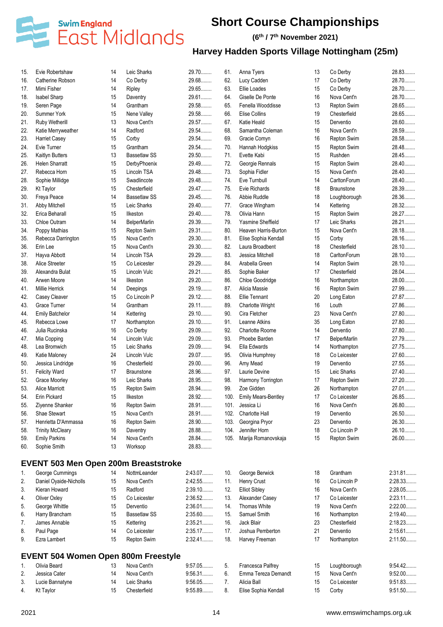

**(6 th / 7 th November 2021)**

| 15. | Evie Robertshaw                             | 14 | Leic Sharks         | 29.70     | 61.  | Anna Tyers                 | 13 | Co Derby            | 28.83          |
|-----|---------------------------------------------|----|---------------------|-----------|------|----------------------------|----|---------------------|----------------|
| 16. | Catherine Robson                            | 14 | Co Derby            | 29.68     | 62.  | Lucy Cadden                | 17 | Co Derby            | 28.70          |
| 17. | Mimi Fisher                                 | 14 | Ripley              | 29.65     | 63.  | Ellie Loades               | 15 | Co Derby            | 28.70          |
| 18. | Isabel Sharp                                | 15 | Daventry            | 29.61     | 64.  | Giselle De Ponte           | 16 | Nova Cent'n         | 28.70          |
| 19. | Seren Page                                  | 14 | Grantham            | 29.58     | 65.  | Fenella Wooddisse          | 13 | Repton Swim         | 28.65          |
| 20. | Summer York                                 | 15 | Nene Valley         | 29.58     | 66.  | Elise Collins              | 19 | Chesterfield        | 28.65          |
| 21. | Ruby Wetherill                              | 13 | Nova Cent'n         | 29.57     | 67.  | Katie Heald                | 15 | Derventio           | 28.60          |
| 22. | Katie Merryweather                          | 14 | Radford             | 29.54     | 68.  | Samantha Coleman           | 16 | Nova Cent'n         | 28.59          |
| 23. | <b>Harriet Casey</b>                        | 15 | Corby               | 29.54     | 69.  | Gracie Comyn               | 16 | Repton Swim         | 28.58          |
| 24. | Evie Turner                                 | 15 | Grantham            | 29.54     | 70.  | Hannah Hodgkiss            | 15 | Repton Swim         | 28.48          |
| 25. | Kaitlyn Butters                             | 13 | <b>Bassetlaw SS</b> | 29.50     | 71.  | Evette Kabi                | 15 | Rushden             | 28.45          |
| 26. | <b>Helen Sharratt</b>                       | 15 | DerbyPhoenix        | 29.49     | 72.  | Georgie Rennals            | 15 | Repton Swim         | 28.40          |
| 27. | Rebecca Horn                                | 15 | Lincoln TSA         | 29.48     | 73.  | Sophia Fidler              | 15 | Nova Cent'n         | 28.40          |
| 28. | Sophie Millidge                             | 15 | Swadlincote         | 29.48     | 74.  | Eve Turnbull               | 14 | CarltonForum        | 28.40          |
| 29. | <b>Kt Taylor</b>                            | 15 | Chesterfield        | 29.47     | 75.  | Evie Richards              | 18 | <b>Braunstone</b>   | 28.39          |
| 30. | Freya Peace                                 | 14 | <b>Bassetlaw SS</b> | 29.45     | 76.  | Abbie Ruddle               | 18 | Loughborough        | 28.36          |
| 31. | Abby Mitchell                               | 15 | Leic Sharks         | 29.40.    | 77.  | Grace Wingham              | 14 | Kettering           | 28.32          |
| 32. | Erica Beharall                              | 15 | Ilkeston            | 29.40     | 78.  | Olivia Hann                | 15 | Repton Swim         | 28.27          |
| 33. | Chloe Outram                                | 14 | <b>BelperMarlin</b> | 29.39     | 79.  | Yasmine Sheffield          | 17 | Leic Sharks         | 28.21          |
| 34. | Poppy Mathias                               | 15 | Repton Swim         | 29.31     | 80.  | Heaven Harris-Burton       | 15 | Nova Cent'n         | 28.18.         |
| 35. | Rebecca Darrington                          | 15 | Nova Cent'n         | 29.30     | 81.  | Elise Sophia Kendall       | 15 | Corby               | 28.16          |
| 36. | Erin Lee                                    | 15 | Nova Cent'n         | 29.30     | 82.  | Laura Broadbent            | 18 | Chesterfield        | 28.10          |
| 37. | Hayva Abbott                                | 14 | Lincoln TSA         | 29.29     | 83.  | Jessica Mitchell           | 18 | CarltonForum        | 28.10          |
|     | Alice Streeter                              | 15 | Co Leicester        | 29.29     | 84.  | Arabella Green             | 14 |                     | 28.10          |
| 38. |                                             |    |                     |           |      |                            |    | Repton Swim         |                |
| 39. | Alexandra Bulat                             | 15 | Lincoln Vulc        | 29.21     | 85.  | Sophie Baker               | 17 | Chesterfield        | 28.04<br>28.00 |
| 40. | Arwen Moore                                 | 14 | Ilkeston            | 29.20     | 86.  | Chloe Goodridge            | 16 | Northampton         |                |
| 41. | <b>Millie Herrick</b>                       | 14 | Deepings            | 29.19.    | 87.  | Alicia Massie              | 16 | Repton Swim         | 27.99          |
| 42. | Casey Cleaver                               | 15 | Co Lincoln P        | 29.12     | 88.  | <b>Ellie Tennant</b>       | 20 | Long Eaton          | 27.87          |
| 43. | Grace Turner                                | 14 | Grantham            | 29.11     | 89.  | Charlotte Wright           | 16 | Louth               | 27.86          |
| 44. | <b>Emily Batchelor</b>                      | 14 | Kettering           | 29.10     | 90.  | Cira Fletcher              | 23 | Nova Cent'n         | 27.80          |
| 45. | Rebecca Lowe                                | 17 | Northampton         | 29.10     | 91.  | Leanne Atkins              | 35 | Long Eaton          | 27.80          |
| 46. | Julia Rucinska                              | 16 | Co Derby            | 29.09     | 92.  | <b>Charlotte Roome</b>     | 14 | Derventio           | 27.80          |
| 47. | Mia Copping                                 | 14 | Lincoln Vulc        | 29.09     | 93.  | Phoebe Barden              | 17 | <b>BelperMarlin</b> | 27.79          |
| 48. | Lea Bromwich                                | 15 | Leic Sharks         | 29.09     | 94.  | Ella Edwards               | 14 | Northampton         | 27.75          |
| 49. | Katie Maloney                               | 24 | Lincoln Vulc        | 29.07     | 95.  | Olivia Humphrey            | 18 | Co Leicester        | 27.60          |
| 50. | Jessica Lindridge                           | 16 | Chesterfield        | 29.00     | 96.  | Amy Mead                   | 19 | Derventio           | 27.55          |
| 51. | <b>Felicity Ward</b>                        | 17 | <b>Braunstone</b>   | 28.96     | 97.  | Laurie Devine              | 15 | Leic Sharks         | 27.40          |
| 52. | Grace Moorley                               | 16 | Leic Sharks         | 28.95     | 98.  | Harmony Torrington         | 17 | Repton Swim         | 27.20          |
| 53. | Alice Marriott                              | 15 | Repton Swim         | 28.94     | 99.  | Zoe Gidden                 | 26 | Northampton         | 27.01          |
| 54. | Erin Pickard                                | 15 | Ilkeston            | 28.92     | 100. | <b>Emily Mears-Bentley</b> | 17 | Co Leicester        | 26.85          |
| 55. | Ziyenne Shanker                             | 16 | Repton Swim         | 28.91     | 101. | Jessica Li                 | 16 | Nova Cent'n         | 26.80          |
| 56. | Shae Stewart                                | 15 | Nova Cent'n         | 28.91     | 102. | Charlotte Hall             | 19 | Derventio           | 26.50          |
| 57. | Henrietta D'Ammassa                         | 16 | Repton Swim         | 28.90     | 103. | Georgina Pryor             | 23 | Derventio           | 26.30          |
| 58. | <b>Trinity McCleary</b>                     | 16 | Daventry            | 28.88     | 104. | Jennifer Horn              | 18 | Co Lincoln P        | 26.10          |
| 59. | <b>Emily Parkins</b>                        | 14 | Nova Cent'n         | 28.84     | 105. | Marija Romanovskaja        | 15 | Repton Swim         | 26.00          |
| 60. | Sophie Smith                                | 13 | Worksop             | 28.83     |      |                            |    |                     |                |
|     |                                             |    |                     |           |      |                            |    |                     |                |
|     | <b>EVENT 503 Men Open 200m Breaststroke</b> | 14 | NottmLeander        | 2:43.07   |      |                            |    | Grantham            | 2:31.81        |
| 1.  | George Cummings                             |    | Nova Cent'n         |           | 10.  | George Berwick             | 18 |                     |                |
| 2.  | Daniel Oyaide-Nicholls                      | 15 |                     | 2:42.55   | 11.  | Henry Crust                | 16 | Co Lincoln P        | 2:28.33        |
| 3.  | Kieran Howard                               | 15 | Radford             | 2:39.10   | 12.  | <b>Elliot Sibley</b>       | 16 | Nova Cent'n         | 2:28.05        |
| 4.  | Oliver Oxley                                | 15 | Co Leicester        | 2:36.52   | 13.  | Alexander Casey            | 17 | Co Leicester        | 2:23.11        |
| 5.  | George Whittle                              | 15 | Derventio           | 2:36.01   | 14.  | <b>Thomas White</b>        | 19 | Nova Cent'n         | 2:22.00        |
| 6.  | Harry Brancham                              | 15 | <b>Bassetlaw SS</b> | $2:35.60$ | 15.  | Samuel Smith               | 16 | Northampton         | 2:19.40        |
| 7.  | James Annable                               | 15 | Kettering           | 2:35.21   | 16.  | Jack Blair                 | 23 | Chesterfield        | 2:18.23        |
| 8.  | Paul Page                                   | 14 | Co Leicester        | 2:35.17   | 17.  | Joshua Pemberton           | 21 | Derventio           | 2:15.61        |
| 9.  | Ezra Lambert                                | 15 | Repton Swim         | 2:32.41   | 18.  | Harvey Freeman             | 17 | Northampton         | 2:11.50        |
|     | <b>EVENT 504 Women Open 800m Freestyle</b>  |    |                     |           |      |                            |    |                     |                |
| 1.  | Olivia Beard                                | 13 | Nova Cent'n         | 9:57.05   | 5.   | Francesca Palfrey          | 15 | Loughborough        | 9:54.42        |
| 2.  | Jessica Cater                               | 14 | Nova Cent'n         | 9:56.31   | 6.   | Emma Tereza Demandt        | 15 | Nova Cent'n         | $9:52.00$      |
| 3.  | Lucie Bannatyne                             | 14 | Leic Sharks         | 9:56.05   | 7.   | Alicia Ball                | 15 | Co Leicester        | 9:51.83        |
| 4.  | <b>Kt Taylor</b>                            | 15 | Chesterfield        | 9:55.89   | 8.   | Elise Sophia Kendall       | 15 | Corby               | 9:51.50        |
|     |                                             |    |                     |           |      |                            |    |                     |                |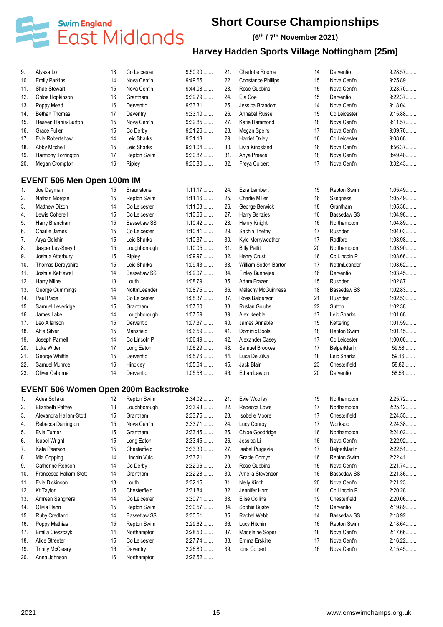

### **(6 th / 7 th November 2021)**

| 9.  | Alyssa Lo                                   | 13 | Co Leicester        | 9:50.90            | 21. | Charlotte Roome              | 14       | Derventio                   | 9:28.57   |
|-----|---------------------------------------------|----|---------------------|--------------------|-----|------------------------------|----------|-----------------------------|-----------|
| 10. | <b>Emily Parkins</b>                        | 14 | Nova Cent'n         | 9.49.65            | 22. | <b>Constance Phillips</b>    | 15       | Nova Cent'n                 | 9:25.89   |
| 11. | Shae Stewart                                | 15 | Nova Cent'n         | 9:44.08            | 23. | Rose Gubbins                 | 15       | Nova Cent'n                 | 9:23.70   |
| 12. | Chloe Hopkinson                             | 16 | Grantham            | 9:39.79            | 24. | Eja Coe                      | 15       | Derventio                   | 9:22.37   |
| 13. | Poppy Mead                                  | 16 | Derventio           | 9:33.31            | 25. | Jessica Brandom              | 14       | Nova Cent'n                 | 9:18.04   |
| 14. | <b>Bethan Thomas</b>                        | 17 | Daventry            | $9:33.10$          | 26. | Annabel Russell              | 15       | Co Leicester                | 9:15.88   |
| 15. | Heaven Harris-Burton                        | 15 | Nova Cent'n         | 9:32.85            | 27. | Katie Hammond                | 18       | Nova Cent'n                 | 9:11.57   |
| 16. | Grace Fuller                                | 15 | Co Derby            | 9:31.26            | 28. | Megan Speirs                 | 17       | Nova Cent'n                 | 9:09.70   |
| 17. | Evie Robertshaw                             | 14 | Leic Sharks         | 9:31.18            | 29. | Harriet Oxley                | 16       | Co Leicester                | 9:08.68   |
| 18. | Abby Mitchell                               | 15 | Leic Sharks         | $9:31.04$          | 30. | Livia Kingsland              | 16       | Nova Cent'n                 | 8:56.37   |
| 19. | Harmony Torrington                          | 17 | Repton Swim         | 9:30.82            | 31. | Anya Preece                  | 18       | Nova Cent'n                 | 8:49.48   |
| 20. | Megan Crompton                              | 16 | Ripley              | $9:30.80$          | 32. | Freya Colbert                | 17       | Nova Cent'n                 | 8:32.43   |
|     | <b>EVENT 505 Men Open 100m IM</b>           |    |                     |                    |     |                              |          |                             |           |
| 1.  | Joe Dayman                                  | 15 | <b>Braunstone</b>   | 1:11.17            | 24. | Ezra Lambert                 | 15       | Repton Swim                 | 1:05.49   |
| 2.  | Nathan Morgan                               | 15 | Repton Swim         | 1:11.16            | 25. | <b>Charlie Miller</b>        | 16       | Skegness                    | 1:05.49   |
| 3.  | Matthew Dizon                               | 14 | Co Leicester        | 1:11.03            | 26. | George Berwick               | 18       | Grantham                    | 1:05.38   |
| 4.  | Lewis Cotterell                             | 15 | Co Leicester        | 1:10.66            | 27. | Harry Benzies                | 16       | <b>Bassetlaw SS</b>         | 1:04.98   |
| 5.  | Harry Brancham                              | 15 | <b>Bassetlaw SS</b> | 1:10.42            | 28. | Henry Knight                 | 16       | Northampton                 | 1:04.89   |
| 6.  | Charlie James                               | 15 | Co Leicester        | 1:10.41            | 29. | Sachin Thethy                | 17       | Rushden                     | 1:04.03   |
|     |                                             | 15 | Leic Sharks         | 1:10.37            | 30. |                              | 17       | Radford                     | 1:03.98   |
| 7.  | Arya Golchin                                | 15 |                     | 1:10.05            | 31. | Kyle Merryweather            |          |                             | 1:03.90   |
| 8.  | Jasper Ley-Sneyd                            | 15 | Loughborough        | 1:09.97            |     | <b>Billy Pettit</b>          | 20<br>16 | Northampton<br>Co Lincoln P | 1:03.66   |
| 9.  | Joshua Atterbury                            |    | Ripley              |                    | 32. | Henry Crust                  |          |                             |           |
| 10. | Thomas Derbyshire                           | 15 | Leic Sharks         | 1:09.43            | 33. | William Soden-Barton         | 17       | NottmLeander                | 1:03.62   |
| 11. | Joshua Kettlewell                           | 14 | <b>Bassetlaw SS</b> | 1:09.07            | 34. | Finley Bunhejee              | 16       | Derventio                   | 1:03.45   |
| 12. | Harry Milne                                 | 13 | Louth               | 1:08.79            | 35. | Adam Frazer                  | 15       | Rushden                     | 1:02.87   |
| 13. | George Cummings                             | 14 | NottmLeander        | 1:08.75            | 36. | Malachy McGuinness           | 18       | <b>Bassetlaw SS</b>         | 1:02.83   |
| 14. | Paul Page                                   | 14 | Co Leicester        | 1:08.37            | 37. | Ross Balderson               | 21       | Rushden                     | 1:02.53   |
| 15. | Samuel Leveridge                            | 15 | Grantham            | 1:07.60            | 38. | Ruslan Golubs                | 22       | Sutton                      | 1:02.38   |
| 16. | James Lake                                  | 14 | Loughborough        | 1:07.59            | 39. | Alex Keeble                  | 17       | Leic Sharks                 | 1:01.68   |
| 17. | Leo Allanson                                | 15 | Derventio           | 1:07.37            | 40. | James Annable                | 15       | Kettering                   | 1:01.59   |
| 18. | Alfie Silver                                | 15 | Mansfield           | 1:06.59            | 41. | Dominic Bools                | 18       | Repton Swim                 | 1:01.15   |
| 19. | Joseph Parnell                              | 14 | Co Lincoln P        | 1:06.49            | 42. | Alexander Casey              | 17       | Co Leicester                | $1:00.00$ |
| 20. | Luke Witten                                 | 17 | Long Eaton          | 1:06.29            | 43. | Samuel Brookes               | 17       | <b>BelperMarlin</b>         | 59.58     |
| 21. | George Whittle                              | 15 | Derventio           | 1:05.76            | 44. | Luca De Zilva                | 18       | Leic Sharks                 | 59.16     |
| 22. | Samuel Munroe                               | 16 | Hinckley            | 1:05.64            | 45. | Jack Blair                   | 23       | Chesterfield                | 58.82     |
| 23. | Oliver Osborne                              | 14 | Derventio           | 1:05.58            | 46. | Ethan Lawton                 | 20       | Derventio                   | 58.53     |
|     | <b>EVENT 506 Women Open 200m Backstroke</b> |    |                     |                    |     |                              |          |                             |           |
| 1.  | Adea Sollaku                                | 12 | Repton Swim         | 2:34.02            |     | 21. Evie Woolley             | 15       | Northampton                 | 2:25.72   |
| 2.  | Elizabeth Palfrey                           | 13 | Loughborough        | 2:33.93            | 22. | Rebecca Lowe                 | 17       | Northampton                 | 2:25.12   |
| 3.  | Alexandra Hallam-Stott                      | 15 | Grantham            | 2:33.75            | 23. | <b>Isobelle Moore</b>        | 17       | Chesterfield                | 2:24.55   |
| 4.  | Rebecca Darrington                          | 15 | Nova Cent'n         | 2:33.71            | 24. | Lucy Conroy                  | 17       | Worksop                     | 2:24.38   |
| 5.  | Evie Turner                                 | 15 | Grantham            | 2:33.45            | 25. | Chloe Goodridge              | 16       | Northampton                 | 2:24.02   |
| 6.  | <b>Isabel Wright</b>                        | 15 | Long Eaton          | 2:33.45            | 26. | Jessica Li                   | 16       | Nova Cent'n                 | 2:22.92   |
| 7.  | Kate Pearson                                | 15 | Chesterfield        | 2:33.30            | 27. | Isabel Purgavie              | 17       | <b>BelperMarlin</b>         | 2:22.51.  |
| 8.  | Mia Copping                                 | 14 | Lincoln Vulc        | 2:33.21            | 28. | Gracie Comyn                 | 16       | Repton Swim                 | 2:22.41   |
| 9.  | Catherine Robson                            | 14 | Co Derby            | 2:32.96            | 29. | Rose Gubbins                 | 15       | Nova Cent'n                 | 2:21.74   |
| 10. | Francesca Hallam-Stott                      | 14 | Grantham            | 2:32.28            | 30. | Amelia Stevenson             | 16       | <b>Bassetlaw SS</b>         | 2:21.36   |
| 11. | Evie Dickinson                              | 13 | Louth               | 2:32.15            | 31. | Nelly Kinch                  | 20       | Nova Cent'n                 | 2:21.23   |
| 12. | <b>Kt Taylor</b>                            | 15 | Chesterfield        | 2:31.84            | 32. | Jennifer Horn                | 18       | Co Lincoln P                | 2:20.28   |
| 13. | Amreen Sanghera                             | 14 | Co Leicester        | 2:30.71            | 33. | Elise Collins                | 19       | Chesterfield                | 2:20.06   |
| 14. | Olivia Hann                                 | 15 | Repton Swim         | 2:30.57            | 34. | Sophie Busby                 | 15       | Derventio                   | 2:19.89   |
| 15. | Ruby Credland                               | 14 | <b>Bassetlaw SS</b> | 2:30.51            | 35. | Rachel Webb                  | 14       | <b>Bassetlaw SS</b>         | 2:18.92   |
| 16. | Poppy Mathias                               | 15 | Repton Swim         | 2:29.62            | 36. | Lucy Hitchin                 | 16       | Repton Swim                 | 2:18.64   |
| 17. | Emilia Cieszczyk                            | 14 | Northampton         | 2:28.50            | 37. | Madeleine Soper              | 18       | Nova Cent'n                 | 2:17.66   |
|     | Alice Streeter                              | 15 | Co Leicester        |                    | 38. |                              | 17       | Nova Cent'n                 | 2:16.22   |
| 18. |                                             |    |                     | 2:27.74<br>2:26.80 |     | Emma Erskine<br>Iona Colbert |          | Nova Cent'n                 | 2:15.45   |
| 19. | <b>Trinity McCleary</b>                     | 16 | Daventry            |                    | 39. |                              | 16       |                             |           |
| 20. | Anna Johnson                                | 16 | Northampton         | 2:26.52            |     |                              |          |                             |           |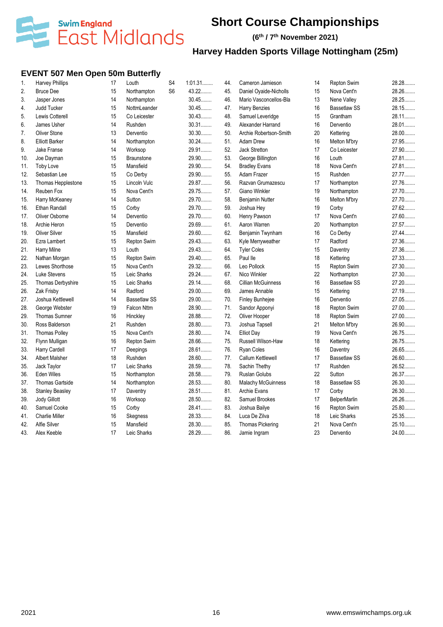

**(6 th / 7 th November 2021)**

# **Harvey Hadden Sports Village Nottingham (25m)**

### **EVENT 507 Men Open 50m Butterfly**

| 1.  | <b>Harvey Phillips</b> | 17 | Louth               | S <sub>4</sub> | 1:01.31 | 44. | Cameron Jamieson          | 14 | Repton Swim         | 28.28 |
|-----|------------------------|----|---------------------|----------------|---------|-----|---------------------------|----|---------------------|-------|
| 2.  | <b>Bruce Dee</b>       | 15 | Northampton         | S <sub>6</sub> | 43.22   | 45. | Daniel Oyaide-Nicholls    | 15 | Nova Cent'n         | 28.26 |
| 3.  | Jasper Jones           | 14 | Northampton         |                | 30.45   | 46. | Mario Vasconcellos-Bla    | 13 | Nene Valley         | 28.25 |
| 4.  | Judd Tucker            | 15 | NottmLeander        |                | 30.45   | 47. | <b>Harry Benzies</b>      | 16 | <b>Bassetlaw SS</b> | 28.15 |
| 5.  | Lewis Cotterell        | 15 | Co Leicester        |                | 30.43   | 48. | Samuel Leveridge          | 15 | Grantham            | 28.11 |
| 6.  | James Usher            | 14 | Rushden             |                | 30.31   | 49. | Alexander Harrand         | 16 | Derventio           | 28.01 |
| 7.  | <b>Oliver Stone</b>    | 13 | Derventio           |                | $30.30$ | 50. | Archie Robertson-Smith    | 20 | Kettering           | 28.00 |
| 8.  | <b>Elliott Barker</b>  | 14 | Northampton         |                | $30.24$ | 51. | Adam Drew                 | 16 | Melton M'bry        | 27.95 |
| 9.  | Jake Franse            | 14 | Worksop             |                | 29.91   | 52. | <b>Jack Stretton</b>      | 17 | Co Leicester        | 27.90 |
| 10. | Joe Dayman             | 15 | Braunstone          |                | 29.90   | 53. | George Billington         | 16 | Louth               | 27.81 |
| 11. | <b>Toby Love</b>       | 15 | Mansfield           |                | 29.90   | 54. | <b>Bradley Evans</b>      | 18 | Nova Cent'n         | 27.81 |
| 12. | Sebastian Lee          | 15 | Co Derby            |                | 29.90   | 55. | Adam Frazer               | 15 | Rushden             | 27.77 |
| 13. | Thomas Hepplestone     | 15 | Lincoln Vulc        |                | 29.87   | 56. | Razvan Grumazescu         | 17 | Northampton         | 27.76 |
| 14. | Reuben Fox             | 15 | Nova Cent'n         |                | 29.75   | 57. | <b>Giano Winkler</b>      | 19 | Northampton         | 27.70 |
| 15. | Harry McKeaney         | 14 | Sutton              |                | 29.70   | 58. | Benjamin Nutter           | 16 | Melton M'bry        | 27.70 |
| 16. | <b>Ethan Randall</b>   | 15 | Corby               |                | 29.70   | 59. | Joshua Hey                | 19 | Corby               | 27.62 |
| 17. | Oliver Osborne         | 14 | Derventio           |                | 29.70   | 60. | Henry Pawson              | 17 | Nova Cent'n         | 27.60 |
| 18. | Archie Heron           | 15 | Derventio           |                | 29.69   | 61. | Aaron Warren              | 20 | Northampton         | 27.57 |
| 19. | <b>Oliver Silver</b>   | 15 | Mansfield           |                | 29.60   | 62. | Benjamin Twynham          | 16 | Co Derby            | 27.44 |
| 20. | Ezra Lambert           | 15 | Repton Swim         |                | 29.43.  | 63. | Kyle Merryweather         | 17 | Radford             | 27.36 |
| 21. | Harry Milne            | 13 | Louth               |                | 29.43.  | 64. | <b>Tyler Coles</b>        | 15 | Daventry            | 27.36 |
| 22. | Nathan Morgan          | 15 | Repton Swim         |                | 29.40   | 65. | Paul lle                  | 18 | Kettering           | 27.33 |
| 23. | Lewes Shorthose        | 15 | Nova Cent'n         |                | 29.32   | 66. | Leo Pollock               | 15 | Repton Swim         | 27.30 |
| 24. | Luke Stevens           | 15 | Leic Sharks         |                | 29.24   | 67. | Nico Winkler              | 22 | Northampton         | 27.30 |
| 25. | Thomas Derbyshire      | 15 | Leic Sharks         |                | 29.14.  | 68. | <b>Cillian McGuinness</b> | 16 | <b>Bassetlaw SS</b> | 27.20 |
| 26. | Zak Frisby             | 14 | Radford             |                | 29.00   | 69. | James Annable             | 15 | Kettering           | 27.19 |
| 27. | Joshua Kettlewell      | 14 | <b>Bassetlaw SS</b> |                | 29.00   | 70. | <b>Finley Bunhejee</b>    | 16 | Derventio           | 27.05 |
| 28. | George Webster         | 19 | Falcon Nttm         |                | 28.90   | 71. | Sandor Apponyi            | 18 | Repton Swim         | 27.00 |
| 29. | <b>Thomas Sumner</b>   | 16 | Hinckley            |                | 28.88   | 72. | Oliver Hooper             | 18 | Repton Swim         | 27.00 |
| 30. | Ross Balderson         | 21 | Rushden             |                | 28.80   | 73. | Joshua Tapsell            | 21 | Melton M'bry        | 26.90 |
| 31. | Thomas Polley          | 15 | Nova Cent'n         |                | 28.80   | 74. | <b>Elliot Day</b>         | 19 | Nova Cent'n         | 26.75 |
| 32. | Flynn Mulligan         | 16 | Repton Swim         |                | 28.66   | 75. | Russell Wilson-Haw        | 18 | Kettering           | 26.75 |
| 33. | Harry Cardell          | 17 | Deepings            |                | 28.61   | 76. | Ryan Coles                | 16 | Daventry            | 26.65 |
| 34. | Albert Malsher         | 18 | Rushden             |                | 28.60   | 77. | Callum Kettlewell         | 17 | <b>Bassetlaw SS</b> | 26.60 |
| 35. | Jack Taylor            | 17 | Leic Sharks         |                | 28.59   | 78. | Sachin Thethy             | 17 | Rushden             | 26.52 |
| 36. | <b>Eden Wiles</b>      | 15 | Northampton         |                | 28.58   | 79. | <b>Ruslan Golubs</b>      | 22 | Sutton              | 26.37 |
| 37. | <b>Thomas Gartside</b> | 14 | Northampton         |                | 28.53   | 80. | <b>Malachy McGuinness</b> | 18 | <b>Bassetlaw SS</b> | 26.30 |
| 38. | <b>Stanley Beasley</b> | 17 | Daventry            |                | 28.51   | 81. | Archie Evans              | 17 | Corby               | 26.30 |
| 39. | Jody Gillott           | 16 | Worksop             |                | 28.50   | 82. | Samuel Brookes            | 17 | <b>BelperMarlin</b> | 26.26 |
| 40. | Samuel Cooke           | 15 | Corby               |                | 28.41   | 83. | Joshua Bailye             | 16 | <b>Repton Swim</b>  | 25.80 |
| 41. | <b>Charlie Miller</b>  | 16 | Skegness            |                | 28.33   | 84. | Luca De Zilva             | 18 | Leic Sharks         | 25.35 |
| 42. | Alfie Silver           | 15 | Mansfield           |                | 28.30   | 85. | <b>Thomas Pickering</b>   | 21 | Nova Cent'n         | 25.10 |
| 43. | Alex Keeble            | 17 | Leic Sharks         |                | 28.29   | 86. | Jamie Ingram              | 23 | Derventio           | 24.00 |